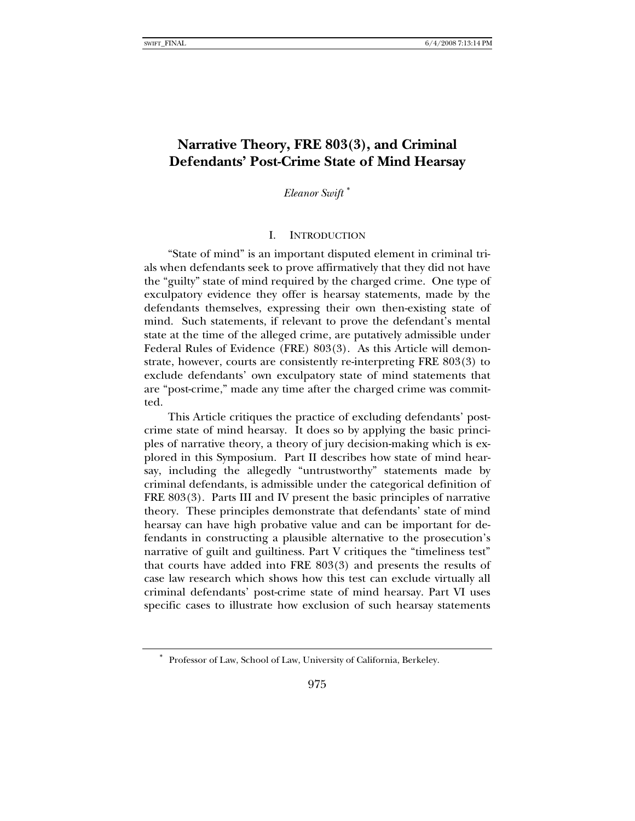# **Narrative Theory, FRE 803(3), and Criminal Defendants' Post-Crime State of Mind Hearsay**

*Eleanor Swift* [∗](#page-0-0)

#### I. INTRODUCTION

"State of mind" is an important disputed element in criminal trials when defendants seek to prove affirmatively that they did not have the "guilty" state of mind required by the charged crime. One type of exculpatory evidence they offer is hearsay statements, made by the defendants themselves, expressing their own then-existing state of mind. Such statements, if relevant to prove the defendant's mental state at the time of the alleged crime, are putatively admissible under Federal Rules of Evidence (FRE) 803(3). As this Article will demonstrate, however, courts are consistently re-interpreting FRE 803(3) to exclude defendants' own exculpatory state of mind statements that are "post-crime," made any time after the charged crime was committed.

This Article critiques the practice of excluding defendants' postcrime state of mind hearsay. It does so by applying the basic principles of narrative theory, a theory of jury decision-making which is explored in this Symposium. Part II describes how state of mind hearsay, including the allegedly "untrustworthy" statements made by criminal defendants, is admissible under the categorical definition of FRE 803(3). Parts III and IV present the basic principles of narrative theory. These principles demonstrate that defendants' state of mind hearsay can have high probative value and can be important for defendants in constructing a plausible alternative to the prosecution's narrative of guilt and guiltiness. Part V critiques the "timeliness test" that courts have added into FRE 803(3) and presents the results of case law research which shows how this test can exclude virtually all criminal defendants' post-crime state of mind hearsay. Part VI uses specific cases to illustrate how exclusion of such hearsay statements

<span id="page-0-0"></span><sup>∗</sup> Professor of Law, School of Law, University of California, Berkeley.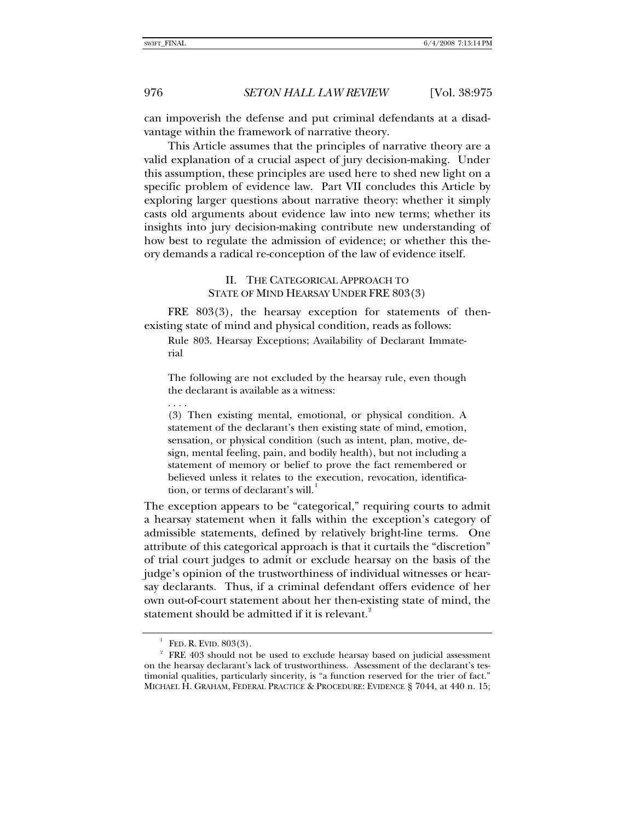can impoverish the defense and put criminal defendants at a disadvantage within the framework of narrative theory.

This Article assumes that the principles of narrative theory are a valid explanation of a crucial aspect of jury decision-making. Under this assumption, these principles are used here to shed new light on a specific problem of evidence law. Part VII concludes this Article by exploring larger questions about narrative theory: whether it simply casts old arguments about evidence law into new terms; whether its insights into jury decision-making contribute new understanding of how best to regulate the admission of evidence; or whether this theory demands a radical re-conception of the law of evidence itself.

> II. THE CATEGORICAL APPROACH TO STATE OF MIND HEARSAY UNDER FRE 803(3)

FRE 803(3), the hearsay exception for statements of thenexisting state of mind and physical condition, reads as follows:

Rule 803. Hearsay Exceptions; Availability of Declarant Immaterial

The following are not excluded by the hearsay rule, even though the declarant is available as a witness:

. . . . (3) Then existing mental, emotional, or physical condition. A statement of the declarant's then existing state of mind, emotion, sensation, or physical condition (such as intent, plan, motive, design, mental feeling, pain, and bodily health), but not including a statement of memory or belief to prove the fact remembered or believed unless it relates to the execution, revocation, identification, or terms of declarant's will.

The exception appears to be "categorical," requiring courts to admit a hearsay statement when it falls within the exception's category of admissible statements, defined by relatively bright-line terms. One attribute of this categorical approach is that it curtails the "discretion" of trial court judges to admit or exclude hearsay on the basis of the judge's opinion of the trustworthiness of individual witnesses or hearsay declarants. Thus, if a criminal defendant offers evidence of her own out-of-court statement about her then-existing state of mind, the statement should be admitted if it is relevant.<sup>[2](#page-1-1)</sup>

1

FED. R. EVID. 803(3). 2

<span id="page-1-1"></span><span id="page-1-0"></span><sup>&</sup>lt;sup>2</sup> FRE 403 should not be used to exclude hearsay based on judicial assessment on the hearsay declarant's lack of trustworthiness. Assessment of the declarant's testimonial qualities, particularly sincerity, is "a function reserved for the trier of fact." MICHAEL H. GRAHAM, FEDERAL PRACTICE & PROCEDURE: EVIDENCE § 7044, at 440 n. 15;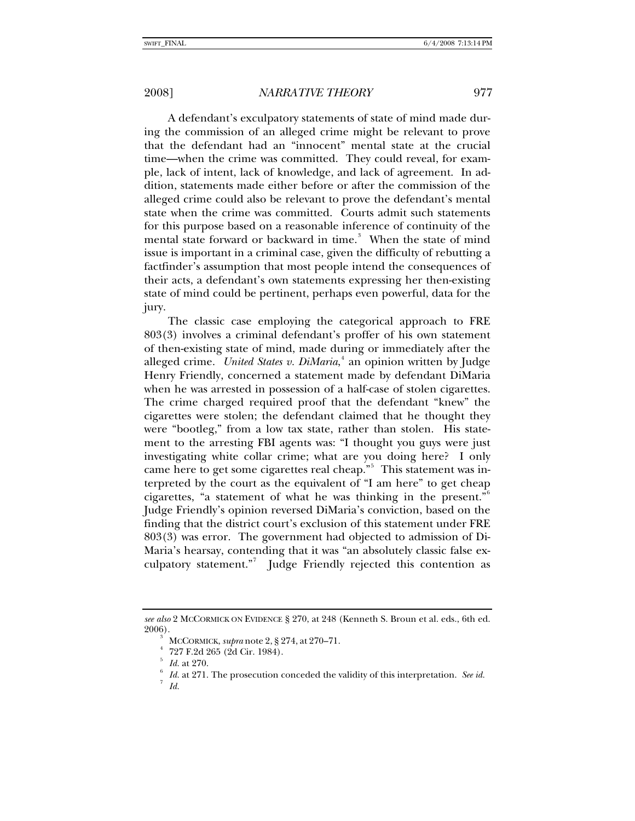A defendant's exculpatory statements of state of mind made during the commission of an alleged crime might be relevant to prove that the defendant had an "innocent" mental state at the crucial time—when the crime was committed. They could reveal, for example, lack of intent, lack of knowledge, and lack of agreement. In addition, statements made either before or after the commission of the alleged crime could also be relevant to prove the defendant's mental state when the crime was committed. Courts admit such statements for this purpose based on a reasonable inference of continuity of the mental state forward or backward in time.<sup>[3](#page-2-0)</sup> When the state of mind issue is important in a criminal case, given the difficulty of rebutting a factfinder's assumption that most people intend the consequences of their acts, a defendant's own statements expressing her then-existing state of mind could be pertinent, perhaps even powerful, data for the jury.

The classic case employing the categorical approach to FRE 803(3) involves a criminal defendant's proffer of his own statement of then-existing state of mind, made during or immediately after the alleged crime. *United States v. DiMaria*, [4](#page-2-1) an opinion written by Judge Henry Friendly, concerned a statement made by defendant DiMaria when he was arrested in possession of a half-case of stolen cigarettes. The crime charged required proof that the defendant "knew" the cigarettes were stolen; the defendant claimed that he thought they were "bootleg," from a low tax state, rather than stolen. His statement to the arresting FBI agents was: "I thought you guys were just investigating white collar crime; what are you doing here? I only came here to get some cigarettes real cheap."<sup>[5](#page-2-2)</sup> This statement was interpreted by the court as the equivalent of "I am here" to get cheap cigarettes, "a statement of what he was thinking in the present." Judge Friendly's opinion reversed DiMaria's conviction, based on the finding that the district court's exclusion of this statement under FRE 803(3) was error. The government had objected to admission of Di-Maria's hearsay, contending that it was "an absolutely classic false ex-culpatory statement."<sup>[7](#page-2-4)</sup> Judge Friendly rejected this contention as

 *Id.*

<span id="page-2-3"></span><span id="page-2-2"></span><span id="page-2-1"></span><span id="page-2-0"></span>*see also* 2 MCCORMICK ON EVIDENCE § 270, at 248 (Kenneth S. Broun et al. eds., 6th ed. 2006).

MCCORMICK, *supra* note 2, § 274, at 270–71. 4

 <sup>727</sup> F.2d 265 (2d Cir. 1984).

<span id="page-2-4"></span><sup>5</sup> *Id.* at 270.

*Id.* at 271. The prosecution conceded the validity of this interpretation. See id.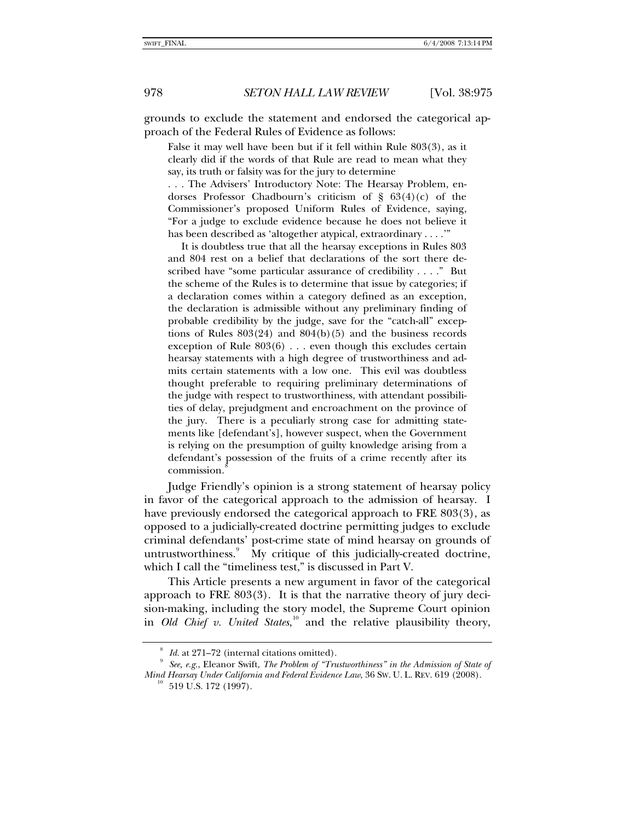grounds to exclude the statement and endorsed the categorical approach of the Federal Rules of Evidence as follows:

False it may well have been but if it fell within Rule 803(3), as it clearly did if the words of that Rule are read to mean what they say, its truth or falsity was for the jury to determine

. . . The Advisers' Introductory Note: The Hearsay Problem, endorses Professor Chadbourn's criticism of § 63(4)(c) of the Commissioner's proposed Uniform Rules of Evidence, saying, "For a judge to exclude evidence because he does not believe it has been described as 'altogether atypical, extraordinary . . . .'"

 It is doubtless true that all the hearsay exceptions in Rules 803 and 804 rest on a belief that declarations of the sort there described have "some particular assurance of credibility . . . ." But the scheme of the Rules is to determine that issue by categories; if a declaration comes within a category defined as an exception, the declaration is admissible without any preliminary finding of probable credibility by the judge, save for the "catch-all" exceptions of Rules  $803(24)$  and  $804(b)(5)$  and the business records exception of Rule 803(6) . . . even though this excludes certain hearsay statements with a high degree of trustworthiness and admits certain statements with a low one. This evil was doubtless thought preferable to requiring preliminary determinations of the judge with respect to trustworthiness, with attendant possibilities of delay, prejudgment and encroachment on the province of the jury. There is a peculiarly strong case for admitting statements like [defendant's], however suspect, when the Government is relying on the presumption of guilty knowledge arising from a defendant's possession of the fruits of a crime recently after its commission.

Judge Friendly's opinion is a strong statement of hearsay policy in favor of the categorical approach to the admission of hearsay. I have previously endorsed the categorical approach to FRE 803(3), as opposed to a judicially-created doctrine permitting judges to exclude criminal defendants' post-crime state of mind hearsay on grounds of untrustworthiness.<sup>[9](#page-3-1)</sup> My critique of this judicially-created doctrine, which I call the "timeliness test," is discussed in Part V.

This Article presents a new argument in favor of the categorical approach to FRE 803(3). It is that the narrative theory of jury decision-making, including the story model, the Supreme Court opinion in *Old Chief v. United States*,<sup>[10](#page-3-2)</sup> and the relative plausibility theory,

<sup>8</sup> *Id.* at 271–72 (internal citations omitted).

<span id="page-3-2"></span><span id="page-3-1"></span><span id="page-3-0"></span>*See, e.g.*, Eleanor Swift, *The Problem of "Trustworthiness" in the Admission of State of Mind Hearsay Under California and Federal Evidence Law*, 36 Sw. U. L. REV. 619 (2008).<br><sup>10</sup> 519 U.S. 172 (1997).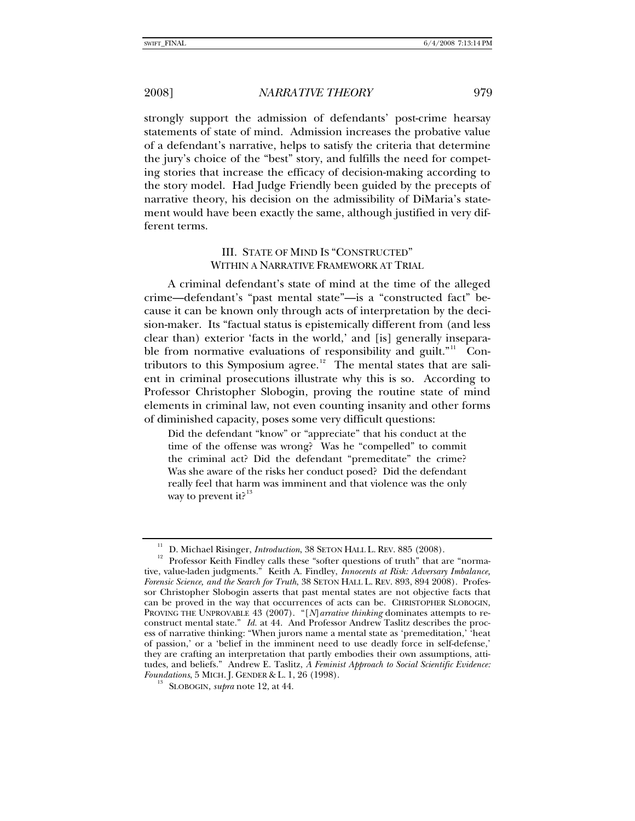strongly support the admission of defendants' post-crime hearsay statements of state of mind. Admission increases the probative value of a defendant's narrative, helps to satisfy the criteria that determine the jury's choice of the "best" story, and fulfills the need for competing stories that increase the efficacy of decision-making according to the story model. Had Judge Friendly been guided by the precepts of narrative theory, his decision on the admissibility of DiMaria's statement would have been exactly the same, although justified in very different terms.

## III. STATE OF MIND IS "CONSTRUCTED" WITHIN A NARRATIVE FRAMEWORK AT TRIAL

A criminal defendant's state of mind at the time of the alleged crime—defendant's "past mental state"—is a "constructed fact" because it can be known only through acts of interpretation by the decision-maker. Its "factual status is epistemically different from (and less clear than) exterior 'facts in the world,' and [is] generally inseparable from normative evaluations of responsibility and guilt."  $\Gamma$  Con-tributors to this Symposium agree.<sup>[12](#page-4-1)</sup> The mental states that are salient in criminal prosecutions illustrate why this is so. According to Professor Christopher Slobogin, proving the routine state of mind elements in criminal law, not even counting insanity and other forms of diminished capacity, poses some very difficult questions:

Did the defendant "know" or "appreciate" that his conduct at the time of the offense was wrong? Was he "compelled" to commit the criminal act? Did the defendant "premeditate" the crime? Was she aware of the risks her conduct posed? Did the defendant really feel that harm was imminent and that violence was the only way to prevent it? $13$ 

<span id="page-4-1"></span><span id="page-4-0"></span><sup>&</sup>lt;sup>11</sup> D. Michael Risinger, *Introduction*, 38 SETON HALL L. REV. 885 (2008).<br><sup>12</sup> Professor Keith Findley calls these "softer questions of truth" that are "normative, value-laden judgments." Keith A. Findley, *Innocents at Risk: Adversary Imbalance, Forensic Science, and the Search for Truth*, 38 SETON HALL L. REV. 893, 894 2008). Professor Christopher Slobogin asserts that past mental states are not objective facts that can be proved in the way that occurrences of acts can be. CHRISTOPHER SLOBOGIN, PROVING THE UNPROVABLE 43 (2007). "[*N*]*arrative thinking* dominates attempts to reconstruct mental state." *Id.* at 44. And Professor Andrew Taslitz describes the process of narrative thinking: "When jurors name a mental state as 'premeditation,' 'heat of passion,' or a 'belief in the imminent need to use deadly force in self-defense,' they are crafting an interpretation that partly embodies their own assumptions, attitudes, and beliefs." Andrew E. Taslitz, *A Feminist Approach to Social Scientific Evidence: Foundations*, 5 MICH. J. GENDER & L. 1, 26 (1998).<br><sup>13</sup> SLOBOGIN, *supra* note 12, at 44.

<span id="page-4-2"></span>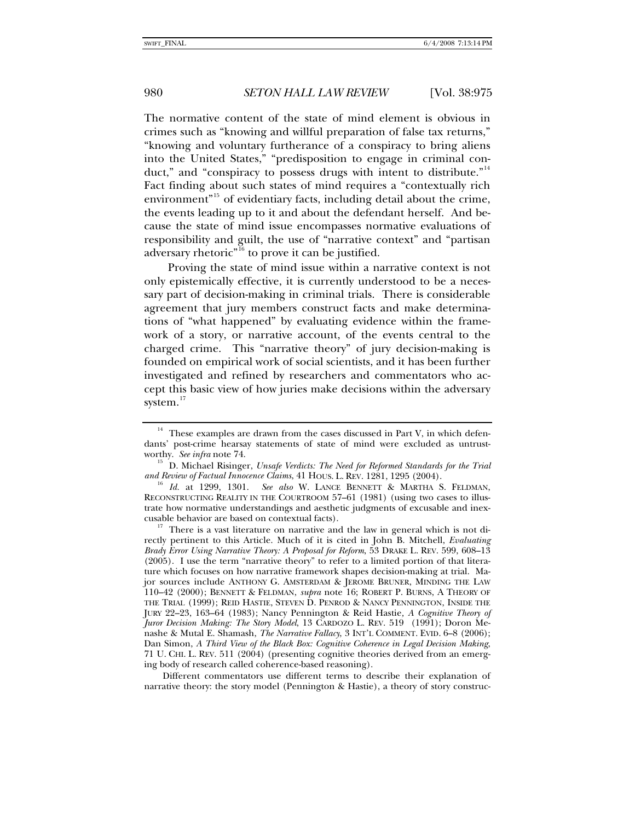The normative content of the state of mind element is obvious in crimes such as "knowing and willful preparation of false tax returns," "knowing and voluntary furtherance of a conspiracy to bring aliens into the United States," "predisposition to engage in criminal con-duct," and "conspiracy to possess drugs with intent to distribute."<sup>[14](#page-5-0)</sup> Fact finding about such states of mind requires a "contextually rich environment<sup>"[15](#page-5-1)</sup> of evidentiary facts, including detail about the crime, the events leading up to it and about the defendant herself. And because the state of mind issue encompasses normative evaluations of responsibility and guilt, the use of "narrative context" and "partisan adversary rhetoric"<sup>[16](#page-5-2)</sup> to prove it can be justified.

Proving the state of mind issue within a narrative context is not only epistemically effective, it is currently understood to be a necessary part of decision-making in criminal trials. There is considerable agreement that jury members construct facts and make determinations of "what happened" by evaluating evidence within the framework of a story, or narrative account, of the events central to the charged crime. This "narrative theory" of jury decision-making is founded on empirical work of social scientists, and it has been further investigated and refined by researchers and commentators who accept this basic view of how juries make decisions within the adversary system.<sup>[17](#page-5-3)</sup>

Different commentators use different terms to describe their explanation of narrative theory: the story model (Pennington & Hastie), a theory of story construc-

<span id="page-5-0"></span> $14$  These examples are drawn from the cases discussed in Part V, in which defendants' post-crime hearsay statements of state of mind were excluded as untrust-worthy. See infra note 74.

<span id="page-5-1"></span><sup>&</sup>lt;sup>15</sup> D. Michael Risinger, *Unsafe Verdicts: The Need for Reformed Standards for the Trial and Review of Factual Innocence Claims, 41 HOUS. L. REV. 1281, 1295 (2004).* 

<span id="page-5-2"></span><sup>&</sup>lt;sup>16</sup> Id. at 1299, 1301. See also W. LANCE BENNETT & MARTHA S. FELDMAN, RECONSTRUCTING REALITY IN THE COURTROOM 57–61 (1981) (using two cases to illustrate how normative understandings and aesthetic judgments of excusable and inex-

<span id="page-5-3"></span>cusable behavior are based on contextual facts).<br><sup>17</sup> There is a vast literature on narrative and the law in general which is not directly pertinent to this Article. Much of it is cited in John B. Mitchell, *Evaluating Brady Error Using Narrative Theory: A Proposal for Reform*, 53 DRAKE L. REV. 599, 608–13 (2005). I use the term "narrative theory" to refer to a limited portion of that literature which focuses on how narrative framework shapes decision-making at trial. Major sources include ANTHONY G. AMSTERDAM & JEROME BRUNER, MINDING THE LAW 110–42 (2000); BENNETT & FELDMAN, *supra* note 16; ROBERT P. BURNS, A THEORY OF THE TRIAL (1999); REID HASTIE, STEVEN D. PENROD & NANCY PENNINGTON, INSIDE THE JURY 22–23, 163–64 (1983); Nancy Pennington & Reid Hastie*, A Cognitive Theory of Juror Decision Making: The Story Model*, 13 CARDOZO L. REV. 519 (1991); Doron Menashe & Mutal E. Shamash, *The Narrative Fallacy*, 3 INT'L COMMENT. EVID. 6–8 (2006); Dan Simon, *A Third View of the Black Box: Cognitive Coherence in Legal Decision Making*, 71 U. CHI. L. REV. 511 (2004) (presenting cognitive theories derived from an emerging body of research called coherence-based reasoning).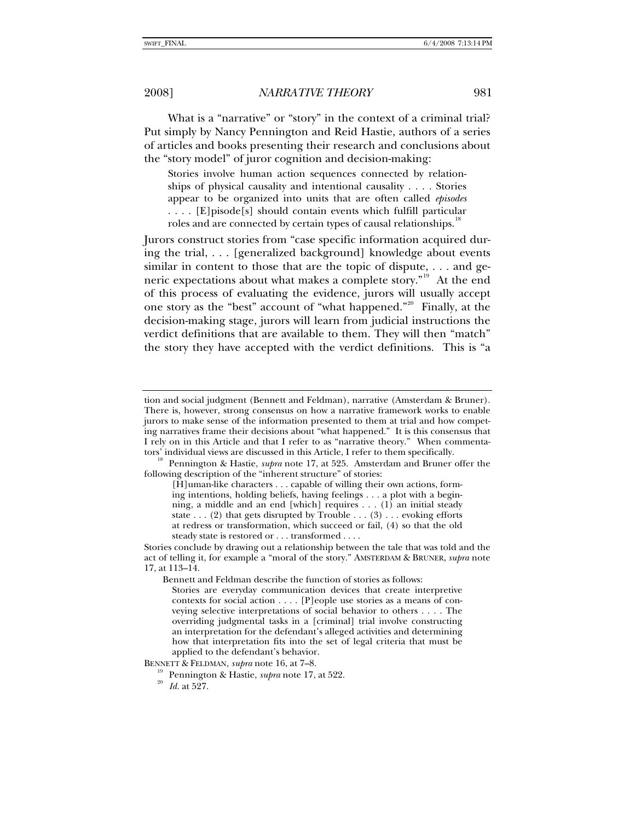What is a "narrative" or "story" in the context of a criminal trial? Put simply by Nancy Pennington and Reid Hastie, authors of a series of articles and books presenting their research and conclusions about the "story model" of juror cognition and decision-making:

Stories involve human action sequences connected by relationships of physical causality and intentional causality . . . . Stories appear to be organized into units that are often called *episodes*  . . . . [E]pisode[s] should contain events which fulfill particular roles and are connected by certain types of causal relationships.<sup>1</sup>

Jurors construct stories from "case specific information acquired during the trial, . . . [generalized background] knowledge about events similar in content to those that are the topic of dispute, . . . and generic expectations about what makes a complete story."[19](#page-6-1) At the end of this process of evaluating the evidence, jurors will usually accept one story as the "best" account of "what happened."<sup>[20](#page-6-2)</sup> Finally, at the decision-making stage, jurors will learn from judicial instructions the verdict definitions that are available to them. They will then "match" the story they have accepted with the verdict definitions. This is "a

tion and social judgment (Bennett and Feldman), narrative (Amsterdam & Bruner). There is, however, strong consensus on how a narrative framework works to enable jurors to make sense of the information presented to them at trial and how competing narratives frame their decisions about "what happened." It is this consensus that I rely on in this Article and that I refer to as "narrative theory." When commenta-

<span id="page-6-0"></span><sup>&</sup>lt;sup>18</sup> Pennington & Hastie, *supra* note 17, at 525. Amsterdam and Bruner offer the following description of the "inherent structure" of stories:

<sup>[</sup>H]uman-like characters . . . capable of willing their own actions, forming intentions, holding beliefs, having feelings . . . a plot with a beginning, a middle and an end [which] requires . . . (1) an initial steady state  $\dots$  (2) that gets disrupted by Trouble  $\dots$  (3)  $\dots$  evoking efforts at redress or transformation, which succeed or fail, (4) so that the old steady state is restored or . . . transformed . . . .

Stories conclude by drawing out a relationship between the tale that was told and the act of telling it, for example a "moral of the story." AMSTERDAM & BRUNER, *supra* note 17, at 113–14.

Bennett and Feldman describe the function of stories as follows:

Stories are everyday communication devices that create interpretive contexts for social action . . . . [P]eople use stories as a means of conveying selective interpretations of social behavior to others . . . . The overriding judgmental tasks in a [criminal] trial involve constructing an interpretation for the defendant's alleged activities and determining how that interpretation fits into the set of legal criteria that must be applied to the defendant's behavior.

<span id="page-6-2"></span><span id="page-6-1"></span>BENNETT & FELDMAN, *supra* note 16, at 7–8.<br><sup>19</sup> Pennington & Hastie, *supra* note 17, at 522.<br><sup>20</sup> *Id.* at 527.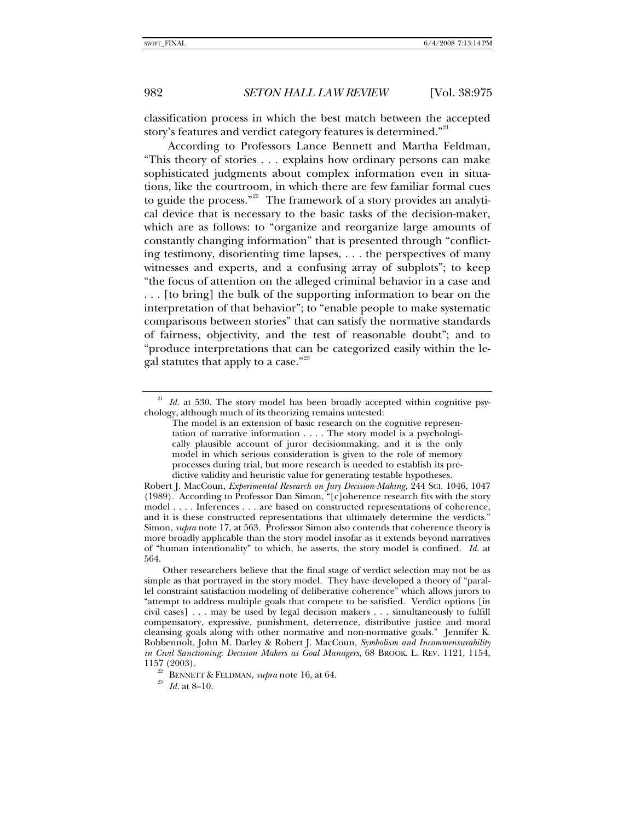classification process in which the best match between the accepted story's features and verdict category features is determined."<sup>[21](#page-7-0)</sup>

According to Professors Lance Bennett and Martha Feldman, "This theory of stories . . . explains how ordinary persons can make sophisticated judgments about complex information even in situations, like the courtroom, in which there are few familiar formal cues to guide the process."<sup>[22](#page-7-1)</sup> The framework of a story provides an analytical device that is necessary to the basic tasks of the decision-maker, which are as follows: to "organize and reorganize large amounts of constantly changing information" that is presented through "conflicting testimony, disorienting time lapses, . . . the perspectives of many witnesses and experts, and a confusing array of subplots"; to keep "the focus of attention on the alleged criminal behavior in a case and . . . [to bring] the bulk of the supporting information to bear on the interpretation of that behavior"; to "enable people to make systematic comparisons between stories" that can satisfy the normative standards of fairness, objectivity, and the test of reasonable doubt"; and to "produce interpretations that can be categorized easily within the le-gal statutes that apply to a case."<sup>[23](#page-7-2)</sup>

<span id="page-7-0"></span> $21$  *Id.* at 530. The story model has been broadly accepted within cognitive psychology, although much of its theorizing remains untested:

The model is an extension of basic research on the cognitive representation of narrative information . . . . The story model is a psychologically plausible account of juror decisionmaking, and it is the only model in which serious consideration is given to the role of memory processes during trial, but more research is needed to establish its predictive validity and heuristic value for generating testable hypotheses.

Robert J. MacCoun, *Experimental Research on Jury Decision-Making*, 244 SCI. 1046, 1047 (1989). According to Professor Dan Simon, "[c]oherence research fits with the story model . . . . Inferences . . . are based on constructed representations of coherence, and it is these constructed representations that ultimately determine the verdicts." Simon, *supra* note 17, at 563. Professor Simon also contends that coherence theory is more broadly applicable than the story model insofar as it extends beyond narratives of "human intentionality" to which, he asserts, the story model is confined. *Id.* at 564.

Other researchers believe that the final stage of verdict selection may not be as simple as that portrayed in the story model. They have developed a theory of "parallel constraint satisfaction modeling of deliberative coherence" which allows jurors to "attempt to address multiple goals that compete to be satisfied. Verdict options [in civil cases] . . . may be used by legal decision makers . . . simultaneously to fulfill compensatory, expressive, punishment, deterrence, distributive justice and moral cleansing goals along with other normative and non-normative goals." Jennifer K. Robbennolt, John M. Darley & Robert J. MacCoun, *Symbolism and Incommensurability in Civil Sanctioning: Decision Makers as Goal Managers*, 68 BROOK. L. REV. 1121, 1154,

<span id="page-7-2"></span><span id="page-7-1"></span><sup>&</sup>lt;sup>22</sup> BENNETT & FELDMAN, *supra* note 16, at 64.<br><sup>23</sup> *Id.* at 8–10.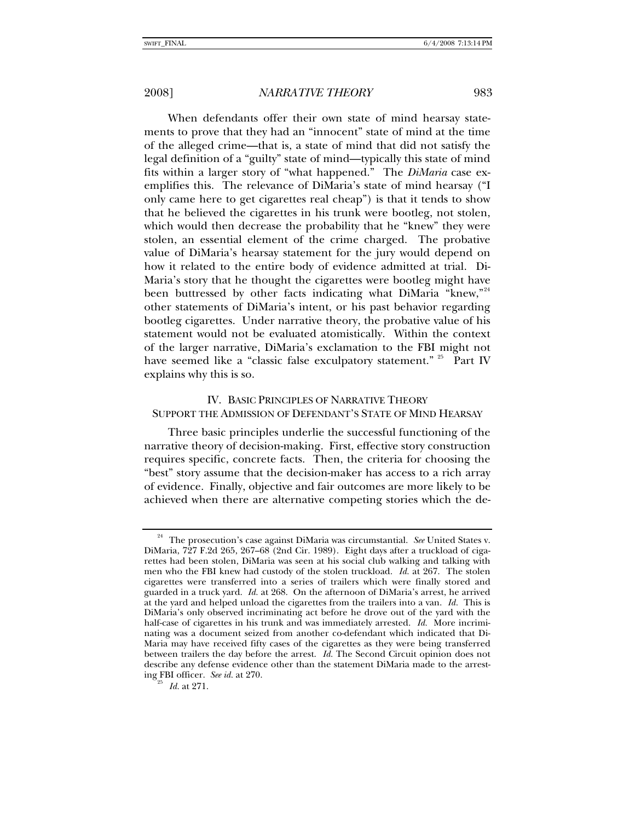When defendants offer their own state of mind hearsay statements to prove that they had an "innocent" state of mind at the time of the alleged crime—that is, a state of mind that did not satisfy the legal definition of a "guilty" state of mind—typically this state of mind fits within a larger story of "what happened." The *DiMaria* case exemplifies this. The relevance of DiMaria's state of mind hearsay ("I only came here to get cigarettes real cheap") is that it tends to show that he believed the cigarettes in his trunk were bootleg, not stolen, which would then decrease the probability that he "knew" they were stolen, an essential element of the crime charged. The probative value of DiMaria's hearsay statement for the jury would depend on how it related to the entire body of evidence admitted at trial. Di-Maria's story that he thought the cigarettes were bootleg might have been buttressed by other facts indicating what DiMaria "knew,"<sup>[24](#page-8-0)</sup> other statements of DiMaria's intent, or his past behavior regarding bootleg cigarettes. Under narrative theory, the probative value of his statement would not be evaluated atomistically. Within the context of the larger narrative, DiMaria's exclamation to the FBI might not have seemed like a "classic false exculpatory statement." <sup>[25](#page-8-1)</sup> Part IV explains why this is so.

# IV. BASIC PRINCIPLES OF NARRATIVE THEORY SUPPORT THE ADMISSION OF DEFENDANT'S STATE OF MIND HEARSAY

Three basic principles underlie the successful functioning of the narrative theory of decision-making. First, effective story construction requires specific, concrete facts. Then, the criteria for choosing the "best" story assume that the decision-maker has access to a rich array of evidence. Finally, objective and fair outcomes are more likely to be achieved when there are alternative competing stories which the de-

<span id="page-8-0"></span><sup>&</sup>lt;sup>24</sup> The prosecution's case against DiMaria was circumstantial. See United States v. DiMaria, 727 F.2d 265, 267–68 (2nd Cir. 1989). Eight days after a truckload of cigarettes had been stolen, DiMaria was seen at his social club walking and talking with men who the FBI knew had custody of the stolen truckload. *Id.* at 267. The stolen cigarettes were transferred into a series of trailers which were finally stored and guarded in a truck yard. *Id.* at 268. On the afternoon of DiMaria's arrest, he arrived at the yard and helped unload the cigarettes from the trailers into a van. *Id.* This is DiMaria's only observed incriminating act before he drove out of the yard with the half-case of cigarettes in his trunk and was immediately arrested. *Id.* More incriminating was a document seized from another co-defendant which indicated that Di-Maria may have received fifty cases of the cigarettes as they were being transferred between trailers the day before the arrest. *Id.* The Second Circuit opinion does not describe any defense evidence other than the statement DiMaria made to the arresting FBI officer. *See id.* at 270. 25 *Id.* at 271.

<span id="page-8-1"></span>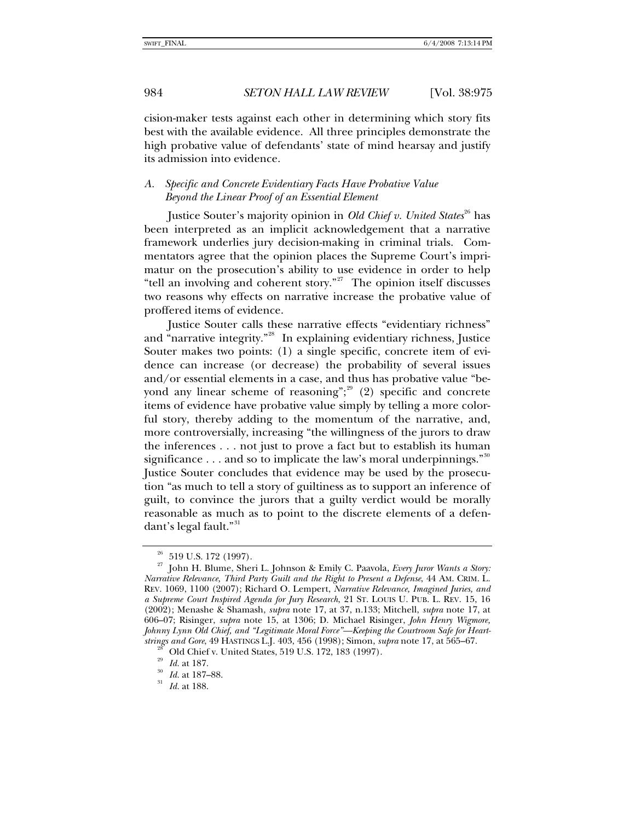cision-maker tests against each other in determining which story fits best with the available evidence. All three principles demonstrate the high probative value of defendants' state of mind hearsay and justify its admission into evidence.

## *A. Specific and Concrete Evidentiary Facts Have Probative Value Beyond the Linear Proof of an Essential Element*

Justice Souter's majority opinion in *Old Chief v. United States*<sup>[26](#page-9-0)</sup> has been interpreted as an implicit acknowledgement that a narrative framework underlies jury decision-making in criminal trials. Commentators agree that the opinion places the Supreme Court's imprimatur on the prosecution's ability to use evidence in order to help "tell an involving and coherent story."<sup>[27](#page-9-1)</sup> The opinion itself discusses two reasons why effects on narrative increase the probative value of proffered items of evidence.

Justice Souter calls these narrative effects "evidentiary richness" and "narrative integrity."<sup>[28](#page-9-2)</sup> In explaining evidentiary richness, Justice Souter makes two points: (1) a single specific, concrete item of evidence can increase (or decrease) the probability of several issues and/or essential elements in a case, and thus has probative value "beyond any linear scheme of reasoning";  $2^9$  (2) specific and concrete items of evidence have probative value simply by telling a more colorful story, thereby adding to the momentum of the narrative, and, more controversially, increasing "the willingness of the jurors to draw the inferences . . . not just to prove a fact but to establish its human significance  $\dots$  and so to implicate the law's moral underpinnings."<sup>[30](#page-9-4)</sup> Justice Souter concludes that evidence may be used by the prosecution "as much to tell a story of guiltiness as to support an inference of guilt, to convince the jurors that a guilty verdict would be morally reasonable as much as to point to the discrete elements of a defen-dant's legal fault."<sup>[31](#page-9-5)</sup>

 $26$  519 U.S. 172 (1997).

<span id="page-9-1"></span><span id="page-9-0"></span><sup>27</sup> John H. Blume, Sheri L. Johnson & Emily C. Paavola, *Every Juror Wants a Story: Narrative Relevance, Third Party Guilt and the Right to Present a Defense*, 44 AM. CRIM. L. REV. 1069, 1100 (2007); Richard O. Lempert, *Narrative Relevance, Imagined Juries, and a Supreme Court Inspired Agenda for Jury Research*, 21 ST. LOUIS U. PUB. L. REV. 15, 16 (2002); Menashe & Shamash, *supra* note 17, at 37, n.133; Mitchell, *supra* note 17, at 606–07; Risinger, *supra* note 15, at 1306; D. Michael Risinger, *John Henry Wigmore, Johnny Lynn Old Chief, and "Legitimate Moral Force"—Keeping the Courtroom Safe for Heartstrings and Gore*, 49 HASTINGS L.J. 403, 456 (1998); Simon, *supra* note 17, at 565–67.<br><sup>28</sup> Old Chief v. United States, 519 U.S. 172, 183 (1997).<br><sup>29</sup> Id. at 187.<br><sup>30</sup> Id. at 187–88.<br><sup>31</sup> Id. at 188.

<span id="page-9-2"></span>

<span id="page-9-5"></span><span id="page-9-4"></span><span id="page-9-3"></span>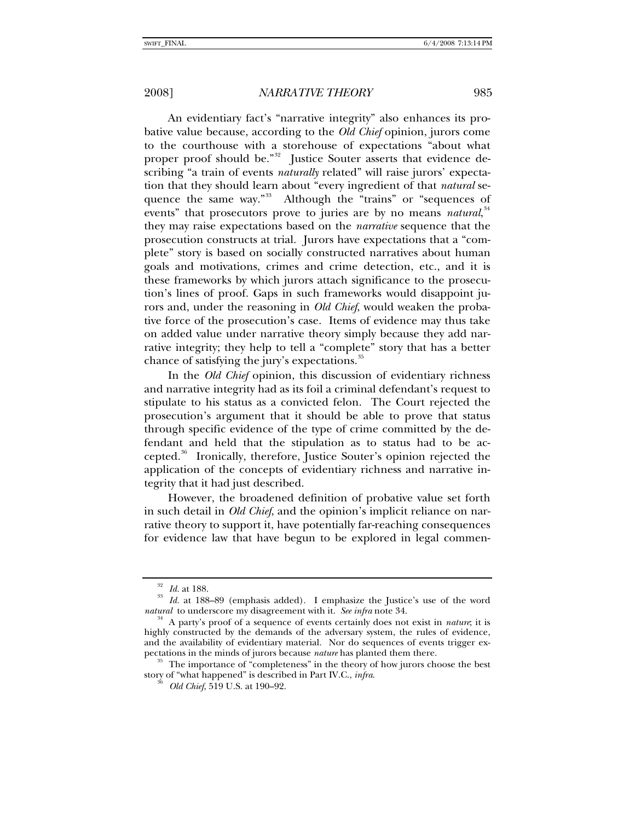An evidentiary fact's "narrative integrity" also enhances its probative value because, according to the *Old Chief* opinion, jurors come to the courthouse with a storehouse of expectations "about what proper proof should be."<sup>[32](#page-10-0)</sup> Justice Souter asserts that evidence describing "a train of events *naturally* related" will raise jurors' expectation that they should learn about "every ingredient of that *natural* se-quence the same way."<sup>[33](#page-10-1)</sup> Although the "trains" or "sequences of events" that prosecutors prove to juries are by no means *natural*,<sup>[34](#page-10-2)</sup> they may raise expectations based on the *narrative* sequence that the prosecution constructs at trial. Jurors have expectations that a "complete" story is based on socially constructed narratives about human goals and motivations, crimes and crime detection, etc., and it is these frameworks by which jurors attach significance to the prosecution's lines of proof. Gaps in such frameworks would disappoint jurors and, under the reasoning in *Old Chief*, would weaken the probative force of the prosecution's case. Items of evidence may thus take on added value under narrative theory simply because they add narrative integrity; they help to tell a "complete" story that has a better chance of satisfying the jury's expectations.<sup>[35](#page-10-3)</sup>

In the *Old Chief* opinion, this discussion of evidentiary richness and narrative integrity had as its foil a criminal defendant's request to stipulate to his status as a convicted felon. The Court rejected the prosecution's argument that it should be able to prove that status through specific evidence of the type of crime committed by the defendant and held that the stipulation as to status had to be ac-cepted.<sup>[36](#page-10-4)</sup> Ironically, therefore, Justice Souter's opinion rejected the application of the concepts of evidentiary richness and narrative integrity that it had just described.

However, the broadened definition of probative value set forth in such detail in *Old Chief*, and the opinion's implicit reliance on narrative theory to support it, have potentially far-reaching consequences for evidence law that have begun to be explored in legal commen-

<span id="page-10-1"></span><span id="page-10-0"></span><sup>&</sup>lt;sup>32</sup> Id. at 188.<br><sup>33</sup> Id. at 188–89 (emphasis added). I emphasize the Justice's use of the word *natural* to underscore my disagreement with it. *See infra* note 34.

<span id="page-10-2"></span><sup>&</sup>lt;sup>34</sup> A party's proof of a sequence of events certainly does not exist in *nature*; it is highly constructed by the demands of the adversary system, the rules of evidence, and the availability of evidentiary material. Nor do sequences of events trigger expectations in the minds of jurors because *nature* has planted them there.<br><sup>35</sup> The importance of "completeness" in the theory of how jurors choose the best

<span id="page-10-4"></span><span id="page-10-3"></span>story of "what happened" is described in Part IV.C., *infra*. 36 *Old Chief*, 519 U.S. at 190–92.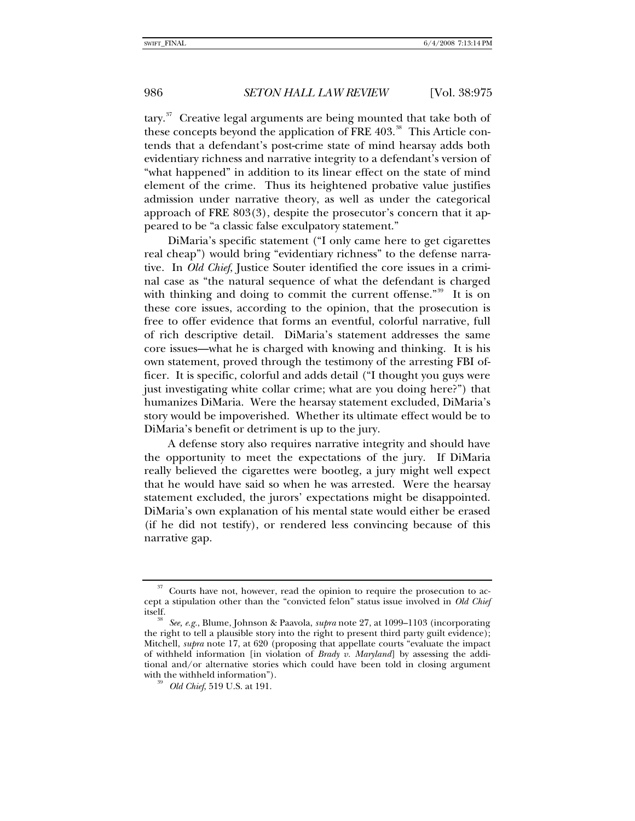$tary$ <sup>[37](#page-11-0)</sup> Creative legal arguments are being mounted that take both of these concepts beyond the application of FRE 403.<sup>[38](#page-11-1)</sup> This Article contends that a defendant's post-crime state of mind hearsay adds both evidentiary richness and narrative integrity to a defendant's version of "what happened" in addition to its linear effect on the state of mind element of the crime. Thus its heightened probative value justifies admission under narrative theory, as well as under the categorical approach of FRE 803(3), despite the prosecutor's concern that it appeared to be "a classic false exculpatory statement."

DiMaria's specific statement ("I only came here to get cigarettes real cheap") would bring "evidentiary richness" to the defense narrative. In *Old Chief*, Justice Souter identified the core issues in a criminal case as "the natural sequence of what the defendant is charged with thinking and doing to commit the current offense.<sup>"[39](#page-11-2)</sup> It is on these core issues, according to the opinion, that the prosecution is free to offer evidence that forms an eventful, colorful narrative, full of rich descriptive detail. DiMaria's statement addresses the same core issues—what he is charged with knowing and thinking. It is his own statement, proved through the testimony of the arresting FBI officer. It is specific, colorful and adds detail ("I thought you guys were just investigating white collar crime; what are you doing here?") that humanizes DiMaria. Were the hearsay statement excluded, DiMaria's story would be impoverished. Whether its ultimate effect would be to DiMaria's benefit or detriment is up to the jury.

A defense story also requires narrative integrity and should have the opportunity to meet the expectations of the jury. If DiMaria really believed the cigarettes were bootleg, a jury might well expect that he would have said so when he was arrested. Were the hearsay statement excluded, the jurors' expectations might be disappointed. DiMaria's own explanation of his mental state would either be erased (if he did not testify), or rendered less convincing because of this narrative gap.

<span id="page-11-0"></span><sup>37</sup> Courts have not, however, read the opinion to require the prosecution to accept a stipulation other than the "convicted felon" status issue involved in *Old Chief* itself. 38 *See, e.g.*, Blume, Johnson & Paavola, *supra* note 27, at 1099–1103 (incorporating

<span id="page-11-2"></span><span id="page-11-1"></span>the right to tell a plausible story into the right to present third party guilt evidence); Mitchell, *supra* note 17, at 620 (proposing that appellate courts "evaluate the impact of withheld information [in violation of *Brady v. Maryland*] by assessing the additional and/or alternative stories which could have been told in closing argument with the withheld information").<br><sup>39</sup> *Old Chief*, 519 U.S. at 191.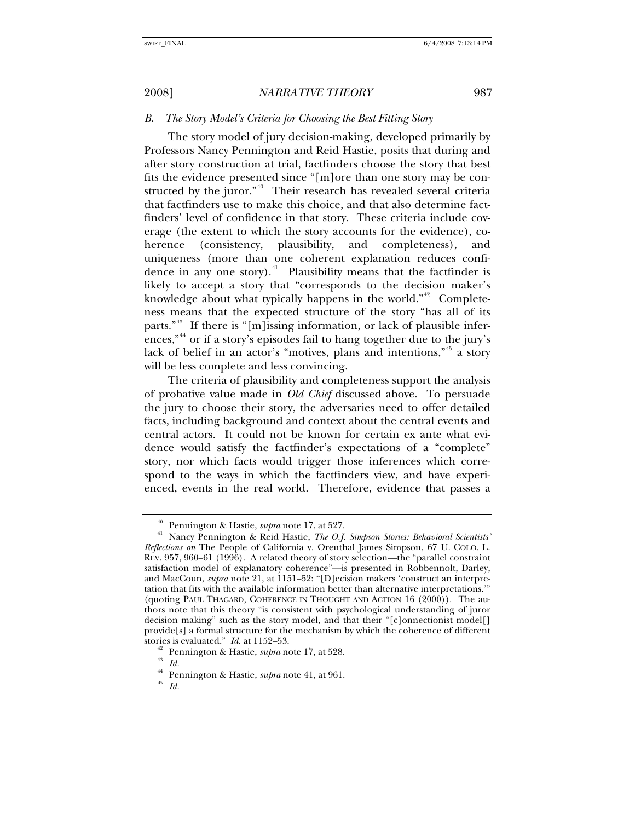## *B. The Story Model's Criteria for Choosing the Best Fitting Story*

The story model of jury decision-making, developed primarily by Professors Nancy Pennington and Reid Hastie, posits that during and after story construction at trial, factfinders choose the story that best fits the evidence presented since "[m]ore than one story may be con-structed by the juror."<sup>[40](#page-12-0)</sup> Their research has revealed several criteria that factfinders use to make this choice, and that also determine factfinders' level of confidence in that story. These criteria include coverage (the extent to which the story accounts for the evidence), coherence (consistency, plausibility, and completeness), and uniqueness (more than one coherent explanation reduces confi-dence in any one story).<sup>[41](#page-12-1)</sup> Plausibility means that the factfinder is likely to accept a story that "corresponds to the decision maker's knowledge about what typically happens in the world."<sup>[42](#page-12-2)</sup> Completeness means that the expected structure of the story "has all of its parts."<sup>[43](#page-12-3)</sup> If there is "[m]issing information, or lack of plausible infer-ences,"<sup>[44](#page-12-4)</sup> or if a story's episodes fail to hang together due to the jury's lack of belief in an actor's "motives, plans and intentions,"[45](#page-12-5) a story will be less complete and less convincing.

The criteria of plausibility and completeness support the analysis of probative value made in *Old Chief* discussed above. To persuade the jury to choose their story, the adversaries need to offer detailed facts, including background and context about the central events and central actors. It could not be known for certain ex ante what evidence would satisfy the factfinder's expectations of a "complete" story, nor which facts would trigger those inferences which correspond to the ways in which the factfinders view, and have experienced, events in the real world. Therefore, evidence that passes a

<span id="page-12-1"></span><span id="page-12-0"></span><sup>&</sup>lt;sup>40</sup> Pennington & Hastie, *supra* note 17, at 527.<br><sup>41</sup> Nancy Pennington & Reid Hastie, *The O.J. Simpson Stories: Behavioral Scientists' Reflections on* The People of California v. Orenthal James Simpson, 67 U. COLO. L. REV. 957, 960–61 (1996). A related theory of story selection—the "parallel constraint satisfaction model of explanatory coherence"—is presented in Robbennolt, Darley, and MacCoun, *supra* note 21, at 1151–52: "[D]ecision makers 'construct an interpretation that fits with the available information better than alternative interpretations.'" (quoting PAUL THAGARD, COHERENCE IN THOUGHT AND ACTION 16 (2000)). The authors note that this theory "is consistent with psychological understanding of juror decision making" such as the story model, and that their "[c]onnectionist model[] provide[s] a formal structure for the mechanism by which the coherence of different stories is evaluated."  $Id$ . at 1152–53.

<span id="page-12-3"></span><span id="page-12-2"></span><sup>&</sup>lt;sup>42</sup> Pennington & Hastie, *supra* note 17, at 528.  $I_d$ 

<span id="page-12-5"></span><span id="page-12-4"></span><sup>44</sup> Pennington & Hastie*, supra* note 41, at 961. 45 *Id.*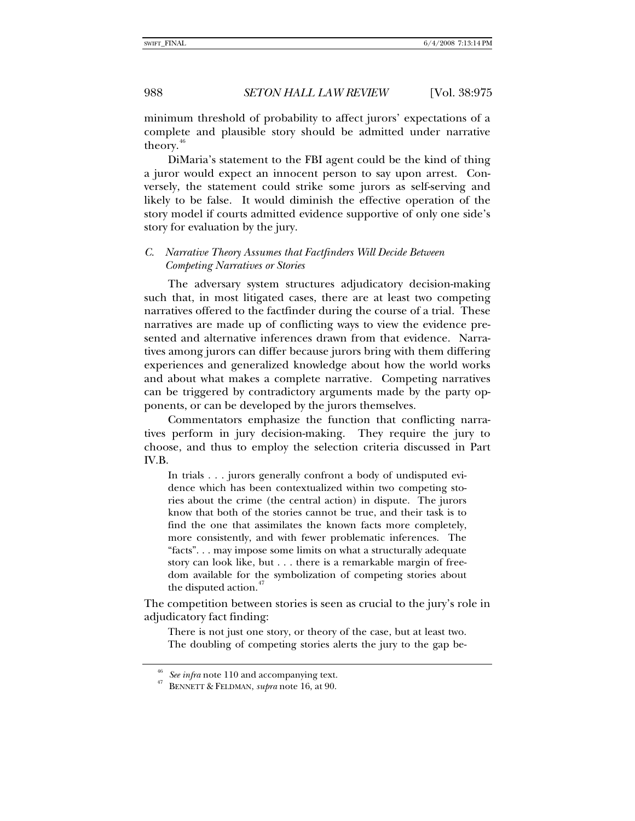minimum threshold of probability to affect jurors' expectations of a complete and plausible story should be admitted under narrative theory.<sup>[46](#page-13-0)</sup>

DiMaria's statement to the FBI agent could be the kind of thing a juror would expect an innocent person to say upon arrest. Conversely, the statement could strike some jurors as self-serving and likely to be false. It would diminish the effective operation of the story model if courts admitted evidence supportive of only one side's story for evaluation by the jury.

## *C. Narrative Theory Assumes that Factfinders Will Decide Between Competing Narratives or Stories*

The adversary system structures adjudicatory decision-making such that, in most litigated cases, there are at least two competing narratives offered to the factfinder during the course of a trial. These narratives are made up of conflicting ways to view the evidence presented and alternative inferences drawn from that evidence. Narratives among jurors can differ because jurors bring with them differing experiences and generalized knowledge about how the world works and about what makes a complete narrative. Competing narratives can be triggered by contradictory arguments made by the party opponents, or can be developed by the jurors themselves.

Commentators emphasize the function that conflicting narratives perform in jury decision-making. They require the jury to choose, and thus to employ the selection criteria discussed in Part IV.B.

In trials . . . jurors generally confront a body of undisputed evidence which has been contextualized within two competing stories about the crime (the central action) in dispute. The jurors know that both of the stories cannot be true, and their task is to find the one that assimilates the known facts more completely, more consistently, and with fewer problematic inferences. The "facts". . . may impose some limits on what a structurally adequate story can look like, but . . . there is a remarkable margin of freedom available for the symbolization of competing stories about the disputed action.<sup>4</sup>

The competition between stories is seen as crucial to the jury's role in adjudicatory fact finding:

There is not just one story, or theory of the case, but at least two. The doubling of competing stories alerts the jury to the gap be-

<span id="page-13-1"></span><span id="page-13-0"></span><sup>46</sup> *See infra* note 110 and accompanying text. 47 BENNETT & FELDMAN, *supra* note 16, at 90.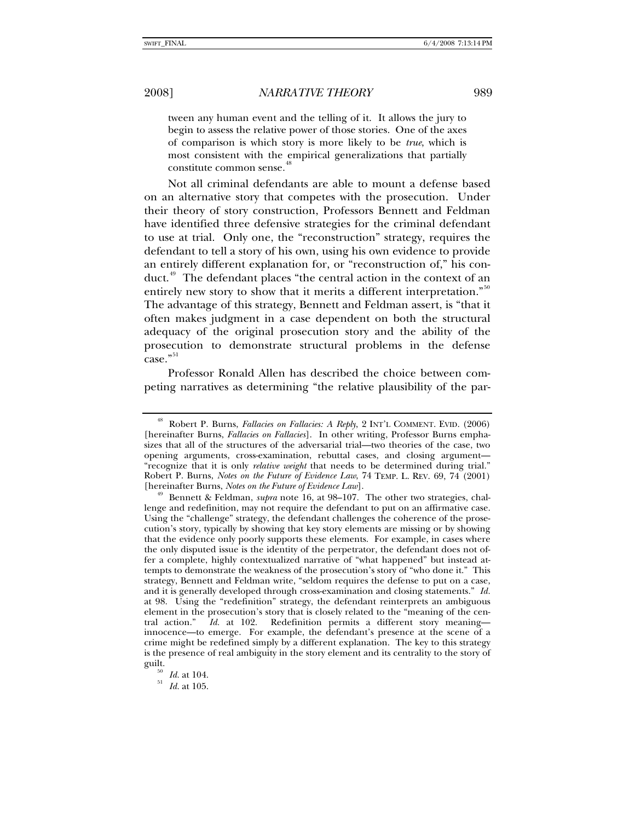tween any human event and the telling of it. It allows the jury to begin to assess the relative power of those stories. One of the axes of comparison is which story is more likely to be *true*, which is most consistent with the empirical generalizations that partially constitute common sense.<sup>4</sup>

Not all criminal defendants are able to mount a defense based on an alternative story that competes with the prosecution. Under their theory of story construction, Professors Bennett and Feldman have identified three defensive strategies for the criminal defendant to use at trial. Only one, the "reconstruction" strategy, requires the defendant to tell a story of his own, using his own evidence to provide an entirely different explanation for, or "reconstruction of," his con-duct.<sup>[49](#page-14-1)</sup> The defendant places "the central action in the context of an entirely new story to show that it merits a different interpretation."<sup>[50](#page-14-2)</sup> The advantage of this strategy, Bennett and Feldman assert, is "that it often makes judgment in a case dependent on both the structural adequacy of the original prosecution story and the ability of the prosecution to demonstrate structural problems in the defense case."<sup>[51](#page-14-3)</sup>

Professor Ronald Allen has described the choice between competing narratives as determining "the relative plausibility of the par-

<span id="page-14-0"></span><sup>48</sup> Robert P. Burns, *Fallacies on Fallacies: A Reply*, 2 INT'L COMMENT. EVID. (2006) [hereinafter Burns, *Fallacies on Fallacies*]. In other writing, Professor Burns emphasizes that all of the structures of the adversarial trial—two theories of the case, two opening arguments, cross-examination, rebuttal cases, and closing argument— "recognize that it is only *relative weight* that needs to be determined during trial." Robert P. Burns, *Notes on the Future of Evidence Law*, 74 TEMP. L. REV. 69, 74 (2001) [hereinafter Burns, *Notes on the Future of Evidence Law*]. 49 Bennett & Feldman, *supra* note 16, at 98–107. The other two strategies, chal-

<span id="page-14-1"></span>lenge and redefinition, may not require the defendant to put on an affirmative case. Using the "challenge" strategy, the defendant challenges the coherence of the prosecution's story, typically by showing that key story elements are missing or by showing that the evidence only poorly supports these elements. For example, in cases where the only disputed issue is the identity of the perpetrator, the defendant does not offer a complete, highly contextualized narrative of "what happened" but instead attempts to demonstrate the weakness of the prosecution's story of "who done it." This strategy, Bennett and Feldman write, "seldom requires the defense to put on a case, and it is generally developed through cross-examination and closing statements." *Id.* at 98. Using the "redefinition" strategy, the defendant reinterprets an ambiguous element in the prosecution's story that is closely related to the "meaning of the central action." *Id.* at 102. Redefinition permits a different story meaning innocence—to emerge. For example, the defendant's presence at the scene of a crime might be redefined simply by a different explanation. The key to this strategy is the presence of real ambiguity in the story element and its centrality to the story of

<span id="page-14-3"></span><span id="page-14-2"></span><sup>&</sup>lt;sup>50</sup> *Id.* at 104.<br><sup>51</sup> *Id.* at 105.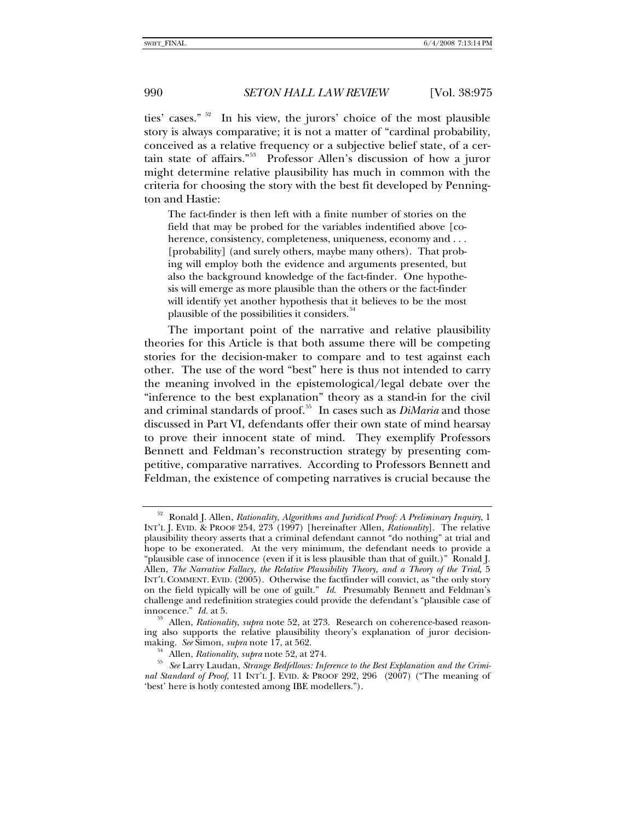ties' cases." [52](#page-15-0) In his view, the jurors' choice of the most plausible story is always comparative; it is not a matter of "cardinal probability, conceived as a relative frequency or a subjective belief state, of a certain state of affairs."[53](#page-15-1) Professor Allen's discussion of how a juror might determine relative plausibility has much in common with the criteria for choosing the story with the best fit developed by Pennington and Hastie:

The fact-finder is then left with a finite number of stories on the field that may be probed for the variables indentified above [coherence, consistency, completeness, uniqueness, economy and . . . [probability] (and surely others, maybe many others). That probing will employ both the evidence and arguments presented, but also the background knowledge of the fact-finder. One hypothesis will emerge as more plausible than the others or the fact-finder will identify yet another hypothesis that it believes to be the most plausible of the possibilities it considers.<sup>[54](#page-15-2)</sup>

The important point of the narrative and relative plausibility theories for this Article is that both assume there will be competing stories for the decision-maker to compare and to test against each other. The use of the word "best" here is thus not intended to carry the meaning involved in the epistemological/legal debate over the "inference to the best explanation" theory as a stand-in for the civil and criminal standards of proof.[55](#page-15-3) In cases such as *DiMaria* and those discussed in Part VI, defendants offer their own state of mind hearsay to prove their innocent state of mind. They exemplify Professors Bennett and Feldman's reconstruction strategy by presenting competitive, comparative narratives. According to Professors Bennett and Feldman, the existence of competing narratives is crucial because the

<span id="page-15-0"></span><sup>52</sup> Ronald J. Allen, *Rationality, Algorithms and Juridical Proof: A Preliminary Inquiry*, 1 INT'L J. EVID. & PROOF 254, 273 (1997) [hereinafter Allen, *Rationality*]. The relative plausibility theory asserts that a criminal defendant cannot "do nothing" at trial and hope to be exonerated. At the very minimum, the defendant needs to provide a "plausible case of innocence (even if it is less plausible than that of guilt.)" Ronald J. Allen, *The Narrative Fallacy, the Relative Plausibility Theory, and a Theory of the Trial*, 5 INT'L COMMENT. EVID. (2005). Otherwise the factfinder will convict, as "the only story on the field typically will be one of guilt." *Id*. Presumably Bennett and Feldman's challenge and redefinition strategies could provide the defendant's "plausible case of innocence."  $Id$ . at 5.

<span id="page-15-1"></span>Allen, *Rationality*, *supra* note 52, at 273. Research on coherence-based reasoning also supports the relative plausibility theory's explanation of juror decision-<br>making. See Simon, supra note 17, at 562.

<span id="page-15-3"></span><span id="page-15-2"></span><sup>&</sup>lt;sup>54</sup> Allen, *Rationality*, *supra* note 52, at 274.<br><sup>55</sup> See Larry Laudan, *Strange Bedfellows: Inference to the Best Explanation and the Criminal Standard of Proof*, 11 INT'L J. EVID. & PROOF 292, 296 (2007) ("The meaning of 'best' here is hotly contested among IBE modellers.").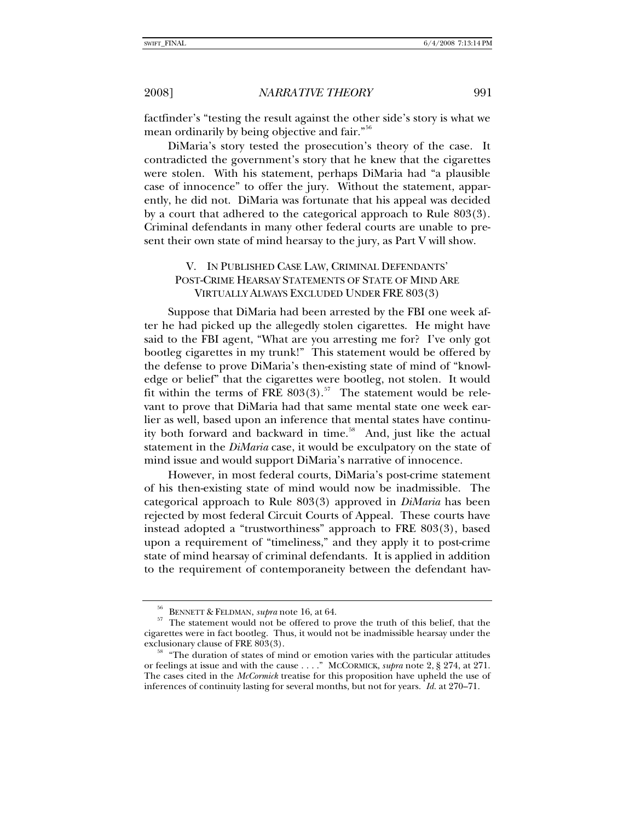factfinder's "testing the result against the other side's story is what we mean ordinarily by being objective and fair."[56](#page-16-0)

DiMaria's story tested the prosecution's theory of the case. It contradicted the government's story that he knew that the cigarettes were stolen. With his statement, perhaps DiMaria had "a plausible case of innocence" to offer the jury. Without the statement, apparently, he did not. DiMaria was fortunate that his appeal was decided by a court that adhered to the categorical approach to Rule 803(3). Criminal defendants in many other federal courts are unable to present their own state of mind hearsay to the jury, as Part V will show.

## V. IN PUBLISHED CASE LAW, CRIMINAL DEFENDANTS' POST-CRIME HEARSAY STATEMENTS OF STATE OF MIND ARE VIRTUALLY ALWAYS EXCLUDED UNDER FRE 803(3)

Suppose that DiMaria had been arrested by the FBI one week after he had picked up the allegedly stolen cigarettes. He might have said to the FBI agent, "What are you arresting me for? I've only got bootleg cigarettes in my trunk!" This statement would be offered by the defense to prove DiMaria's then-existing state of mind of "knowledge or belief" that the cigarettes were bootleg, not stolen. It would fit within the terms of FRE  $803(3)$ .<sup>[57](#page-16-1)</sup> The statement would be relevant to prove that DiMaria had that same mental state one week earlier as well, based upon an inference that mental states have continu-ity both forward and backward in time.<sup>[58](#page-16-2)</sup> And, just like the actual statement in the *DiMaria* case, it would be exculpatory on the state of mind issue and would support DiMaria's narrative of innocence.

However, in most federal courts, DiMaria's post-crime statement of his then-existing state of mind would now be inadmissible. The categorical approach to Rule 803(3) approved in *DiMaria* has been rejected by most federal Circuit Courts of Appeal. These courts have instead adopted a "trustworthiness" approach to FRE 803(3), based upon a requirement of "timeliness," and they apply it to post-crime state of mind hearsay of criminal defendants. It is applied in addition to the requirement of contemporaneity between the defendant hav-

<span id="page-16-1"></span><span id="page-16-0"></span><sup>&</sup>lt;sup>50</sup> BENNETT & FELDMAN, *supra* note 16, at 64.  $\frac{57}{27}$  The statement would not be offered to prove the truth of this belief, that the cigarettes were in fact bootleg. Thus, it would not be inadmissible hearsay under the

<span id="page-16-2"></span><sup>&</sup>quot;The duration of states of mind or emotion varies with the particular attitudes or feelings at issue and with the cause . . . ." MCCORMICK, *supra* note 2, § 274, at 271. The cases cited in the *McCormick* treatise for this proposition have upheld the use of inferences of continuity lasting for several months, but not for years. *Id.* at 270–71.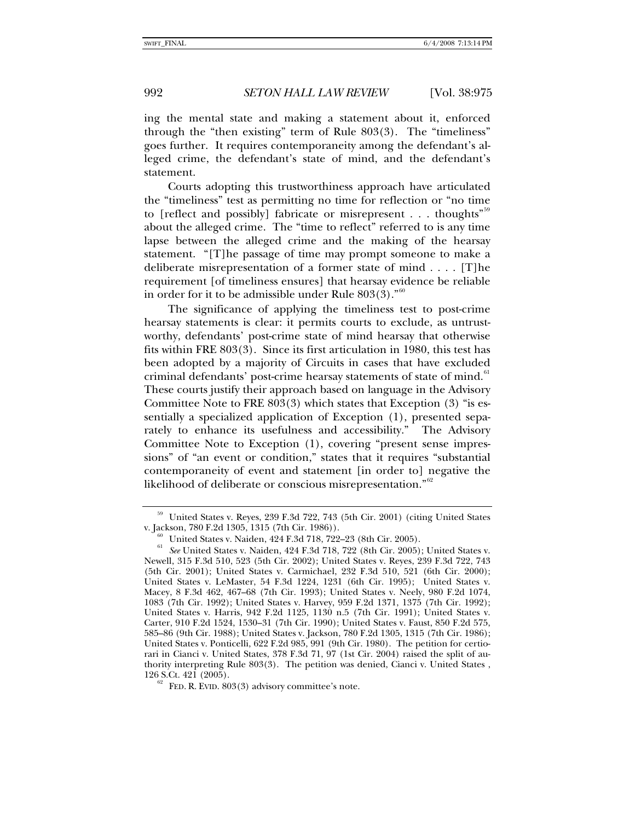ing the mental state and making a statement about it, enforced through the "then existing" term of Rule 803(3). The "timeliness" goes further. It requires contemporaneity among the defendant's alleged crime, the defendant's state of mind, and the defendant's statement.

Courts adopting this trustworthiness approach have articulated the "timeliness" test as permitting no time for reflection or "no time to [reflect and possibly] fabricate or misrepresent  $\dots$  thoughts<sup>"[59](#page-17-0)</sup> about the alleged crime. The "time to reflect" referred to is any time lapse between the alleged crime and the making of the hearsay statement. "[T]he passage of time may prompt someone to make a deliberate misrepresentation of a former state of mind . . . . [T]he requirement [of timeliness ensures] that hearsay evidence be reliable in order for it to be admissible under Rule  $803(3)$ ."<sup>[60](#page-17-1)</sup>

The significance of applying the timeliness test to post-crime hearsay statements is clear: it permits courts to exclude, as untrustworthy, defendants' post-crime state of mind hearsay that otherwise fits within FRE 803(3). Since its first articulation in 1980, this test has been adopted by a majority of Circuits in cases that have excluded criminal defendants' post-crime hearsay statements of state of mind.<sup>[61](#page-17-2)</sup> These courts justify their approach based on language in the Advisory Committee Note to FRE 803(3) which states that Exception (3) "is essentially a specialized application of Exception (1), presented separately to enhance its usefulness and accessibility." The Advisory Committee Note to Exception (1), covering "present sense impressions" of "an event or condition," states that it requires "substantial contemporaneity of event and statement [in order to] negative the likelihood of deliberate or conscious misrepresentation."<sup>[62](#page-17-3)</sup>

<span id="page-17-0"></span><sup>59</sup> United States v. Reyes, 239 F.3d 722, 743 (5th Cir. 2001) (citing United States v. Jackson, 780 F.2d 1305, 1315 (7th Cir. 1986)).<br><sup>60</sup> United States v. Naiden, 424 F.3d 718, 722–23 (8th Cir. 2005).

<span id="page-17-2"></span><span id="page-17-1"></span><sup>&</sup>lt;sup>61</sup> See United States v. Naiden, 424 F.3d 718, 722 (8th Cir. 2005); United States v. Newell, 315 F.3d 510, 523 (5th Cir. 2002); United States v. Reyes, 239 F.3d 722, 743 (5th Cir. 2001); United States v. Carmichael, 232 F.3d 510, 521 (6th Cir. 2000); United States v. LeMaster, 54 F.3d 1224, 1231 (6th Cir. 1995); United States v. Macey, 8 F.3d 462, 467–68 (7th Cir. 1993); United States v. Neely, 980 F.2d 1074, 1083 (7th Cir. 1992); United States v. Harvey, 959 F.2d 1371, 1375 (7th Cir. 1992); United States v. Harris, 942 F.2d 1125, 1130 n.5 (7th Cir. 1991); United States v. Carter, 910 F.2d 1524, 1530–31 (7th Cir. 1990); United States v. Faust, 850 F.2d 575, 585–86 (9th Cir. 1988); United States v. Jackson, 780 F.2d 1305, 1315 (7th Cir. 1986); United States v. Ponticelli, 622 F.2d 985, 991 (9th Cir. 1980). The petition for certiorari in Cianci v. United States, 378 F.3d 71, 97 (1st Cir. 2004) raised the split of authority interpreting Rule 803(3). The petition was denied, Cianci v. United States , 126 S.Ct. 421 (2005).<br><sup>62</sup> FED. R. EVID. 803(3) advisory committee's note.

<span id="page-17-3"></span>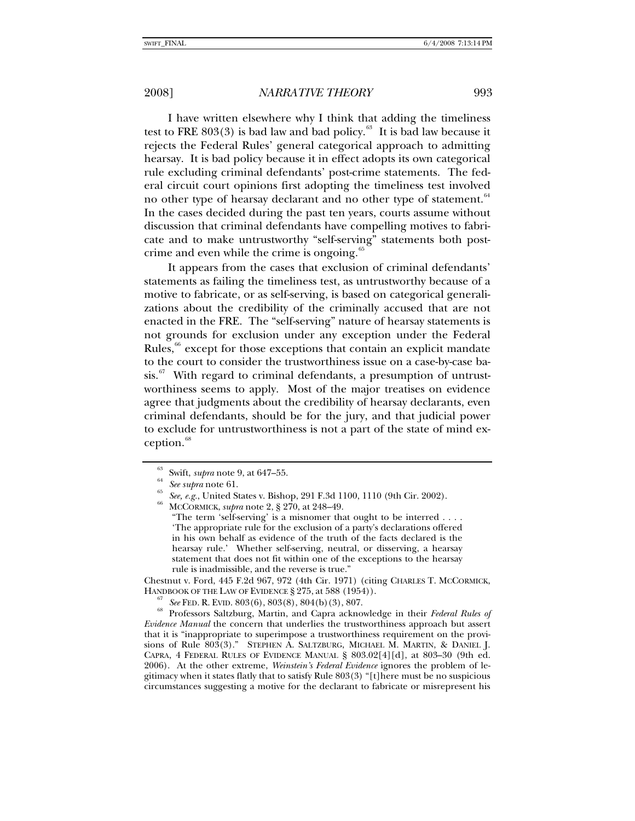I have written elsewhere why I think that adding the timeliness test to FRE 803(3) is bad law and bad policy. $63$  It is bad law because it rejects the Federal Rules' general categorical approach to admitting hearsay. It is bad policy because it in effect adopts its own categorical rule excluding criminal defendants' post-crime statements. The federal circuit court opinions first adopting the timeliness test involved no other type of hearsay declarant and no other type of statement.<sup>[64](#page-18-1)</sup> In the cases decided during the past ten years, courts assume without discussion that criminal defendants have compelling motives to fabricate and to make untrustworthy "self-serving" statements both post-crime and even while the crime is ongoing.<sup>[65](#page-18-2)</sup>

It appears from the cases that exclusion of criminal defendants' statements as failing the timeliness test, as untrustworthy because of a motive to fabricate, or as self-serving, is based on categorical generalizations about the credibility of the criminally accused that are not enacted in the FRE. The "self-serving" nature of hearsay statements is not grounds for exclusion under any exception under the Federal Rules, $66$  except for those exceptions that contain an explicit mandate to the court to consider the trustworthiness issue on a case-by-case ba $s$ is.<sup>[67](#page-18-4)</sup> With regard to criminal defendants, a presumption of untrustworthiness seems to apply. Most of the major treatises on evidence agree that judgments about the credibility of hearsay declarants, even criminal defendants, should be for the jury, and that judicial power to exclude for untrustworthiness is not a part of the state of mind ex-ception.<sup>[68](#page-18-5)</sup>

Chestnut v. Ford, 445 F.2d 967, 972 (4th Cir. 1971) (citing CHARLES T. MCCORMICK,

<span id="page-18-5"></span><span id="page-18-4"></span>HANDBOOK OF THE LAW OF EVIDENCE § 275, at 588 (1954)). 67 *See* FED. R. EVID. 803(6), 803(8), 804(b)(3), 807. 68 Professors Saltzburg, Martin, and Capra acknowledge in their *Federal Rules of Evidence Manual* the concern that underlies the trustworthiness approach but assert that it is "inappropriate to superimpose a trustworthiness requirement on the provisions of Rule 803(3)." STEPHEN A. SALTZBURG, MICHAEL M. MARTIN, & DANIEL J. CAPRA, 4 FEDERAL RULES OF EVIDENCE MANUAL § 803.02[4][d], at 803–30 (9th ed. 2006). At the other extreme, *Weinstein's Federal Evidence* ignores the problem of legitimacy when it states flatly that to satisfy Rule 803(3) "[t]here must be no suspicious circumstances suggesting a motive for the declarant to fabricate or misrepresent his

<span id="page-18-1"></span><span id="page-18-0"></span>

<span id="page-18-3"></span><span id="page-18-2"></span>

<sup>&</sup>lt;sup>63</sup> Swift, *supra* note 9, at 647–55.<br><sup>64</sup> See *supra* note 61.<br><sup>65</sup> See, e.g., United States v. Bishop, 291 F.3d 1100, 1110 (9th Cir. 2002).<br><sup>66</sup> MCCORMICK, *supra* note 2, § 270, at 248–49.

<sup>&</sup>quot;The term 'self-serving' is a misnomer that ought to be interred . . . . 'The appropriate rule for the exclusion of a party's declarations offered in his own behalf as evidence of the truth of the facts declared is the hearsay rule.' Whether self-serving, neutral, or disserving, a hearsay statement that does not fit within one of the exceptions to the hearsay rule is inadmissible, and the reverse is true."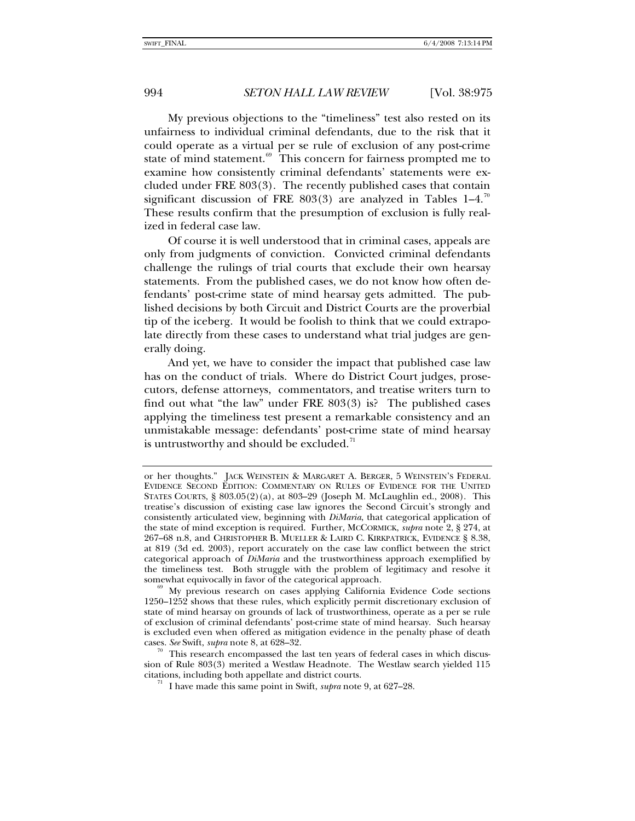My previous objections to the "timeliness" test also rested on its unfairness to individual criminal defendants, due to the risk that it could operate as a virtual per se rule of exclusion of any post-crime state of mind statement.<sup>[69](#page-19-0)</sup> This concern for fairness prompted me to examine how consistently criminal defendants' statements were excluded under FRE 803(3). The recently published cases that contain significant discussion of FRE 803(3) are analyzed in Tables 1–4.<sup>[70](#page-19-1)</sup> These results confirm that the presumption of exclusion is fully realized in federal case law.

Of course it is well understood that in criminal cases, appeals are only from judgments of conviction. Convicted criminal defendants challenge the rulings of trial courts that exclude their own hearsay statements. From the published cases, we do not know how often defendants' post-crime state of mind hearsay gets admitted. The published decisions by both Circuit and District Courts are the proverbial tip of the iceberg. It would be foolish to think that we could extrapolate directly from these cases to understand what trial judges are generally doing.

And yet, we have to consider the impact that published case law has on the conduct of trials. Where do District Court judges, prosecutors, defense attorneys, commentators, and treatise writers turn to find out what "the law" under FRE 803(3) is? The published cases applying the timeliness test present a remarkable consistency and an unmistakable message: defendants' post-crime state of mind hearsay is untrustworthy and should be excluded. $71$ 

or her thoughts." JACK WEINSTEIN & MARGARET A. BERGER, 5 WEINSTEIN'S FEDERAL EVIDENCE SECOND EDITION: COMMENTARY ON RULES OF EVIDENCE FOR THE UNITED STATES COURTS, § 803.05(2)(a), at 803–29 (Joseph M. McLaughlin ed., 2008). This treatise's discussion of existing case law ignores the Second Circuit's strongly and consistently articulated view, beginning with *DiMaria*, that categorical application of the state of mind exception is required. Further, MCCORMICK, *supra* note 2, § 274, at 267–68 n.8, and CHRISTOPHER B. MUELLER & LAIRD C. KIRKPATRICK, EVIDENCE § 8.38, at 819 (3d ed. 2003), report accurately on the case law conflict between the strict categorical approach of *DiMaria* and the trustworthiness approach exemplified by the timeliness test. Both struggle with the problem of legitimacy and resolve it somewhat equivocally in favor of the categorical approach.

<span id="page-19-0"></span>My previous research on cases applying California Evidence Code sections 1250–1252 shows that these rules, which explicitly permit discretionary exclusion of state of mind hearsay on grounds of lack of trustworthiness, operate as a per se rule of exclusion of criminal defendants' post-crime state of mind hearsay. Such hearsay is excluded even when offered as mitigation evidence in the penalty phase of death cases. *See* Swift, *supra* note 8, at 628–32. 70 This research encompassed the last ten years of federal cases in which discus-

<span id="page-19-2"></span><span id="page-19-1"></span>sion of Rule 803(3) merited a Westlaw Headnote. The Westlaw search yielded 115 citations, including both appellate and district courts. 71 I have made this same point in Swift, *supra* note 9, at 627–28.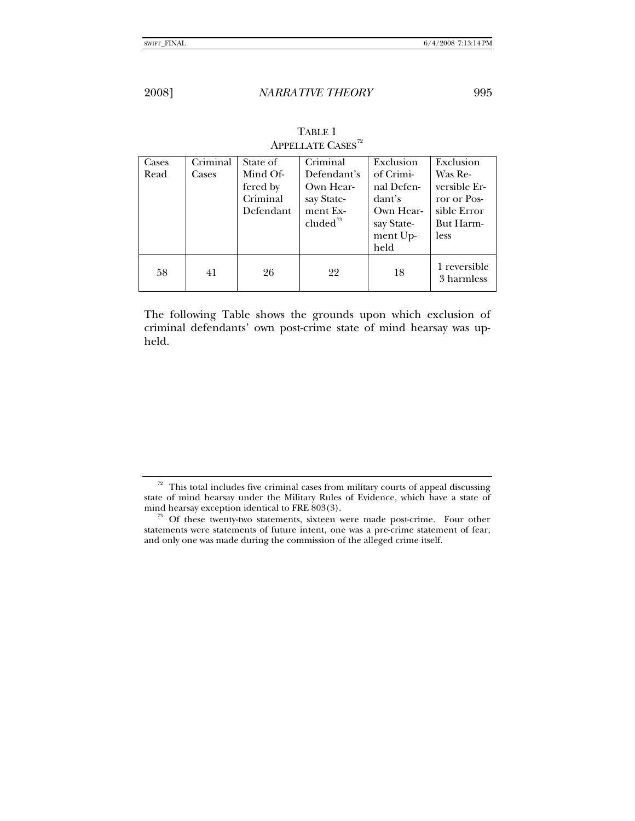| Cases | Criminal | State of  | Criminal             | Exclusion  | Exclusion                  |
|-------|----------|-----------|----------------------|------------|----------------------------|
| Read  | Cases    | Mind Of-  | Defendant's          | of Crimi-  | Was Re-                    |
|       |          | fered by  | Own Hear-            | nal Defen- | versible Er-               |
|       |          | Criminal  | say State-           | dant's     | ror or Pos-                |
|       |          | Defendant | ment Ex-             | Own Hear-  | sible Error                |
|       |          |           | cluded <sup>73</sup> | say State- | But Harm-                  |
|       |          |           |                      | ment Up-   | less                       |
|       |          |           |                      | held       |                            |
| 58    | 41       | 26        | 22                   | 18         | 1 reversible<br>3 harmless |

# TABLE 1 APPELLATE CASES $^{72}$  $^{72}$  $^{72}$

The following Table shows the grounds upon which exclusion of criminal defendants' own post-crime state of mind hearsay was upheld.

<span id="page-20-0"></span> $72$  This total includes five criminal cases from military courts of appeal discussing state of mind hearsay under the Military Rules of Evidence, which have a state of mind hearsay exception identical to FRE 803(3).<br><sup>73</sup> Of these twenty-two statements, sixteen were made post-crime. Four other

<span id="page-20-1"></span>statements were statements of future intent, one was a pre-crime statement of fear, and only one was made during the commission of the alleged crime itself.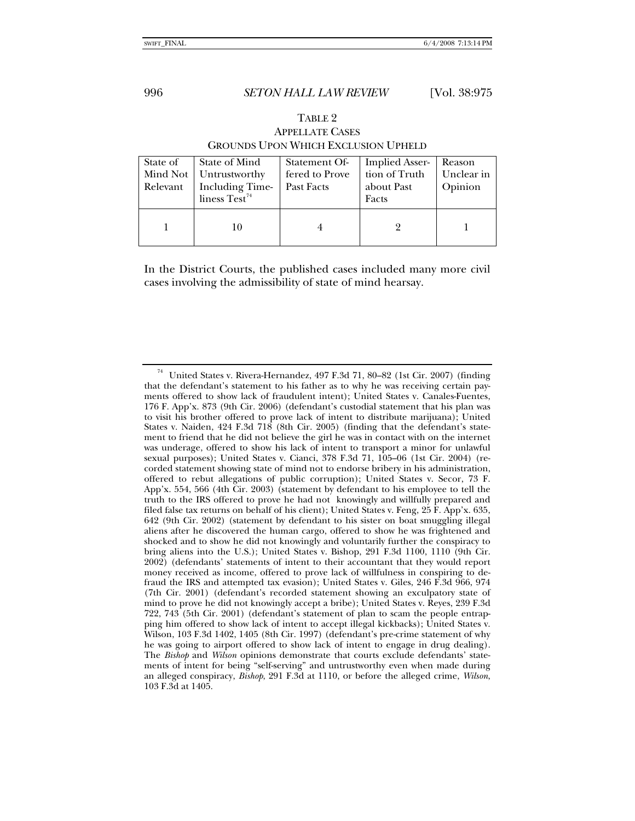TABLE 2

| <b>APPELLATE CASES</b><br><b>GROUNDS UPON WHICH EXCLUSION UPHELD</b> |                                                                                       |                                               |                                                               |                                 |  |  |
|----------------------------------------------------------------------|---------------------------------------------------------------------------------------|-----------------------------------------------|---------------------------------------------------------------|---------------------------------|--|--|
| State of<br>Mind Not<br>Relevant                                     | State of Mind<br>Untrustworthy<br><b>Including Time-</b><br>liness Test <sup>74</sup> | Statement Of-<br>fered to Prove<br>Past Facts | <b>Implied Asser-</b><br>tion of Truth<br>about Past<br>Facts | Reason<br>Unclear in<br>Opinion |  |  |
|                                                                      |                                                                                       |                                               |                                                               |                                 |  |  |

In the District Courts, the published cases included many more civil cases involving the admissibility of state of mind hearsay.

<span id="page-21-0"></span> $74$  United States v. Rivera-Hernandez, 497 F.3d 71, 80–82 (1st Cir. 2007) (finding that the defendant's statement to his father as to why he was receiving certain payments offered to show lack of fraudulent intent); United States v. Canales-Fuentes, 176 F. App'x. 873 (9th Cir. 2006) (defendant's custodial statement that his plan was to visit his brother offered to prove lack of intent to distribute marijuana); United States v. Naiden, 424 F.3d 718 (8th Cir. 2005) (finding that the defendant's statement to friend that he did not believe the girl he was in contact with on the internet was underage, offered to show his lack of intent to transport a minor for unlawful sexual purposes); United States v. Cianci, 378 F.3d 71, 105–06 (1st Cir. 2004) (recorded statement showing state of mind not to endorse bribery in his administration, offered to rebut allegations of public corruption); United States v. Secor, 73 F. App'x. 554, 566 (4th Cir. 2003) (statement by defendant to his employee to tell the truth to the IRS offered to prove he had not knowingly and willfully prepared and filed false tax returns on behalf of his client); United States v. Feng, 25 F. App'x. 635, 642 (9th Cir. 2002) (statement by defendant to his sister on boat smuggling illegal aliens after he discovered the human cargo, offered to show he was frightened and shocked and to show he did not knowingly and voluntarily further the conspiracy to bring aliens into the U.S.); United States v. Bishop, 291 F.3d 1100, 1110 (9th Cir. 2002) (defendants' statements of intent to their accountant that they would report money received as income, offered to prove lack of willfulness in conspiring to defraud the IRS and attempted tax evasion); United States v. Giles, 246 F.3d 966, 974 (7th Cir. 2001) (defendant's recorded statement showing an exculpatory state of mind to prove he did not knowingly accept a bribe); United States v. Reyes, 239 F.3d 722, 743 (5th Cir. 2001) (defendant's statement of plan to scam the people entrapping him offered to show lack of intent to accept illegal kickbacks); United States v. Wilson, 103 F.3d 1402, 1405 (8th Cir. 1997) (defendant's pre-crime statement of why he was going to airport offered to show lack of intent to engage in drug dealing). The *Bishop* and *Wilson* opinions demonstrate that courts exclude defendants' statements of intent for being "self-serving" and untrustworthy even when made during an alleged conspiracy, *Bishop*, 291 F.3d at 1110, or before the alleged crime, *Wilson*, 103 F.3d at 1405.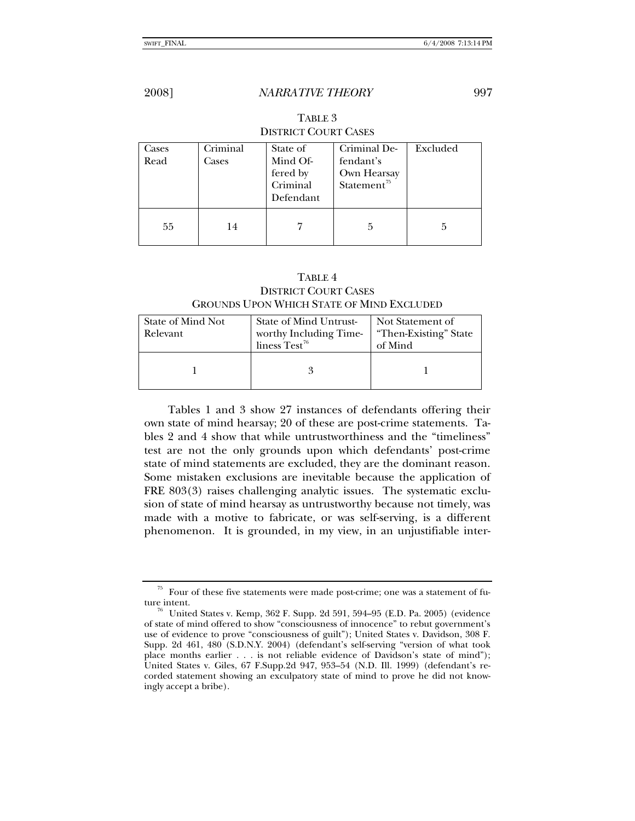| Cases | Criminal | State of             | Criminal De-             | Excluded |  |
|-------|----------|----------------------|--------------------------|----------|--|
| Read  | Cases    | Mind Of-<br>fered by | fendant's<br>Own Hearsay |          |  |
|       |          | Criminal             | Statement <sup>75</sup>  |          |  |
|       |          | Defendant            |                          |          |  |
| 55    | 14       |                      | 5                        | 5        |  |

TABLE 3 DISTRICT COURT CASES

## TABLE 4 DISTRICT COURT CASES GROUNDS UPON WHICH STATE OF MIND EXCLUDED

| State of Mind Not | <b>State of Mind Untrust-</b> | Not Statement of      |  |
|-------------------|-------------------------------|-----------------------|--|
| Relevant          | worthy Including Time-        | "Then-Existing" State |  |
|                   | liness Test <sup>76</sup>     | of Mind               |  |
|                   |                               |                       |  |
|                   |                               |                       |  |
|                   |                               |                       |  |

Tables 1 and 3 show 27 instances of defendants offering their own state of mind hearsay; 20 of these are post-crime statements. Tables 2 and 4 show that while untrustworthiness and the "timeliness" test are not the only grounds upon which defendants' post-crime state of mind statements are excluded, they are the dominant reason. Some mistaken exclusions are inevitable because the application of FRE 803(3) raises challenging analytic issues. The systematic exclusion of state of mind hearsay as untrustworthy because not timely, was made with a motive to fabricate, or was self-serving, is a different phenomenon. It is grounded, in my view, in an unjustifiable inter-

<span id="page-22-0"></span> $75$  Four of these five statements were made post-crime; one was a statement of future intent.<br><sup>76</sup> United States v. Kemp, 362 F. Supp. 2d 591, 594–95 (E.D. Pa. 2005) (evidence

<span id="page-22-1"></span>of state of mind offered to show "consciousness of innocence" to rebut government's use of evidence to prove "consciousness of guilt"); United States v. Davidson, 308 F. Supp. 2d 461, 480 (S.D.N.Y. 2004) (defendant's self-serving "version of what took place months earlier . . . is not reliable evidence of Davidson's state of mind"); United States v. Giles, 67 F.Supp.2d 947, 953–54 (N.D. Ill. 1999) (defendant's recorded statement showing an exculpatory state of mind to prove he did not knowingly accept a bribe).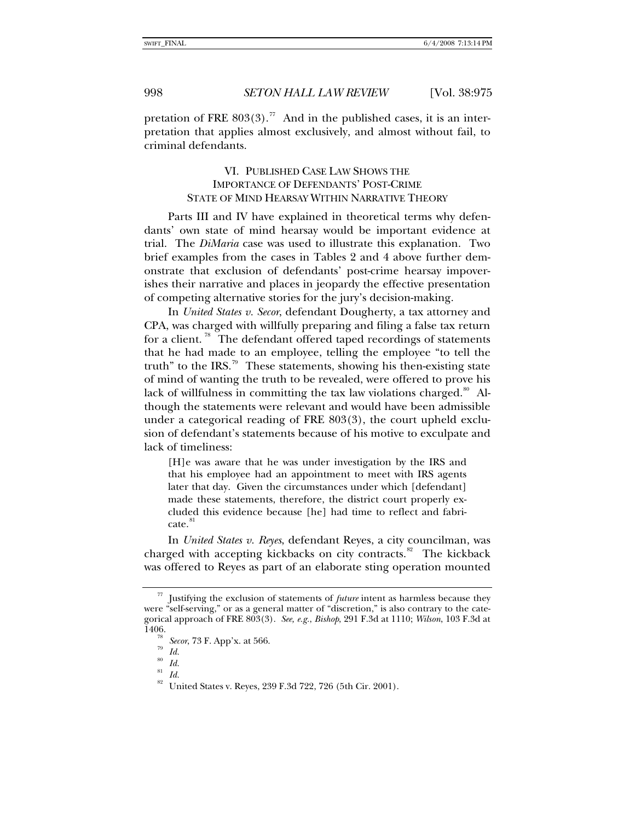pretation of FRE  $803(3)$ .<sup>[77](#page-23-0)</sup> And in the published cases, it is an interpretation that applies almost exclusively, and almost without fail, to criminal defendants.

# VI. PUBLISHED CASE LAW SHOWS THE IMPORTANCE OF DEFENDANTS' POST-CRIME STATE OF MIND HEARSAY WITHIN NARRATIVE THEORY

Parts III and IV have explained in theoretical terms why defendants' own state of mind hearsay would be important evidence at trial. The *DiMaria* case was used to illustrate this explanation. Two brief examples from the cases in Tables 2 and 4 above further demonstrate that exclusion of defendants' post-crime hearsay impoverishes their narrative and places in jeopardy the effective presentation of competing alternative stories for the jury's decision-making.

In *United States v. Secor*, defendant Dougherty, a tax attorney and CPA, was charged with willfully preparing and filing a false tax return for a client.<sup>[78](#page-23-1)</sup> The defendant offered taped recordings of statements that he had made to an employee, telling the employee "to tell the truth" to the IRS.<sup>[79](#page-23-2)</sup> These statements, showing his then-existing state of mind of wanting the truth to be revealed, were offered to prove his lack of willfulness in committing the tax law violations charged. $80$  Although the statements were relevant and would have been admissible under a categorical reading of FRE 803(3), the court upheld exclusion of defendant's statements because of his motive to exculpate and lack of timeliness:

[H]e was aware that he was under investigation by the IRS and that his employee had an appointment to meet with IRS agents later that day. Given the circumstances under which [defendant] made these statements, therefore, the district court properly excluded this evidence because [he] had time to reflect and fabricate.<sup>8</sup>

In *United States v. Reyes*, defendant Reyes, a city councilman, was charged with accepting kickbacks on city contracts.<sup>[82](#page-23-5)</sup> The kickback was offered to Reyes as part of an elaborate sting operation mounted

<span id="page-23-2"></span><span id="page-23-1"></span><span id="page-23-0"></span>Justifying the exclusion of statements of *future* intent as harmless because they were "self-serving," or as a general matter of "discretion," is also contrary to the categorical approach of FRE 803(3). *See, e.g.*, *Bishop*, 291 F.3d at 1110; *Wilson*, 103 F.3d at

<sup>&</sup>lt;sup>78</sup> *Secor*, 73 F. App'x. at 566.<br><sup>79</sup> *Id.*<br><sup>80</sup> *I*.

<span id="page-23-3"></span> $rac{80}{81}$  *Id.* 

<span id="page-23-5"></span><span id="page-23-4"></span> $rac{81}{82}$  *Id.* 

United States v. Reyes, 239 F.3d 722, 726 (5th Cir. 2001).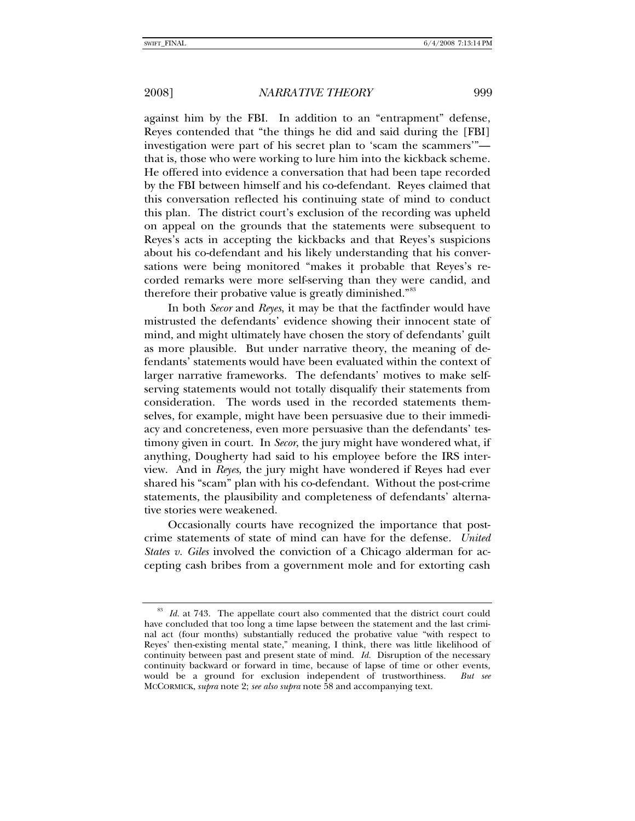against him by the FBI. In addition to an "entrapment" defense, Reyes contended that "the things he did and said during the [FBI] investigation were part of his secret plan to 'scam the scammers'" that is, those who were working to lure him into the kickback scheme. He offered into evidence a conversation that had been tape recorded by the FBI between himself and his co-defendant. Reyes claimed that this conversation reflected his continuing state of mind to conduct this plan. The district court's exclusion of the recording was upheld on appeal on the grounds that the statements were subsequent to Reyes's acts in accepting the kickbacks and that Reyes's suspicions about his co-defendant and his likely understanding that his conversations were being monitored "makes it probable that Reyes's recorded remarks were more self-serving than they were candid, and therefore their probative value is greatly diminished."<sup>[83](#page-24-0)</sup>

In both *Secor* and *Reyes*, it may be that the factfinder would have mistrusted the defendants' evidence showing their innocent state of mind, and might ultimately have chosen the story of defendants' guilt as more plausible. But under narrative theory, the meaning of defendants' statements would have been evaluated within the context of larger narrative frameworks. The defendants' motives to make selfserving statements would not totally disqualify their statements from consideration. The words used in the recorded statements themselves, for example, might have been persuasive due to their immediacy and concreteness, even more persuasive than the defendants' testimony given in court. In *Secor*, the jury might have wondered what, if anything, Dougherty had said to his employee before the IRS interview. And in *Reyes*, the jury might have wondered if Reyes had ever shared his "scam" plan with his co-defendant. Without the post-crime statements, the plausibility and completeness of defendants' alternative stories were weakened.

Occasionally courts have recognized the importance that postcrime statements of state of mind can have for the defense. *United States v. Giles* involved the conviction of a Chicago alderman for accepting cash bribes from a government mole and for extorting cash

<span id="page-24-0"></span><sup>83</sup> *Id.* at 743. The appellate court also commented that the district court could have concluded that too long a time lapse between the statement and the last criminal act (four months) substantially reduced the probative value "with respect to Reyes' then-existing mental state," meaning, I think, there was little likelihood of continuity between past and present state of mind. *Id.* Disruption of the necessary continuity backward or forward in time, because of lapse of time or other events, would be a ground for exclusion independent of trustworthiness. *But see* MCCORMICK, *supra* note 2; *see also supra* note 58 and accompanying text.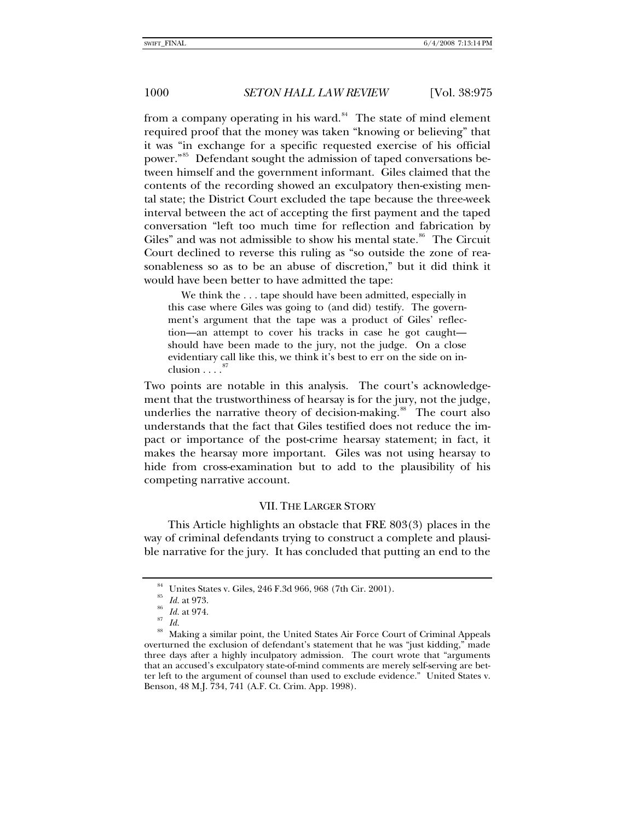from a company operating in his ward. $84$  The state of mind element required proof that the money was taken "knowing or believing" that it was "in exchange for a specific requested exercise of his official power."<sup>[85](#page-25-1)</sup> Defendant sought the admission of taped conversations between himself and the government informant. Giles claimed that the contents of the recording showed an exculpatory then-existing mental state; the District Court excluded the tape because the three-week interval between the act of accepting the first payment and the taped conversation "left too much time for reflection and fabrication by Giles" and was not admissible to show his mental state. $86$  The Circuit Court declined to reverse this ruling as "so outside the zone of reasonableness so as to be an abuse of discretion," but it did think it would have been better to have admitted the tape:

 We think the . . . tape should have been admitted, especially in this case where Giles was going to (and did) testify. The government's argument that the tape was a product of Giles' reflection—an attempt to cover his tracks in case he got caught should have been made to the jury, not the judge. On a close evidentiary call like this, we think it's best to err on the side on inclusion . . . .

Two points are notable in this analysis. The court's acknowledgement that the trustworthiness of hearsay is for the jury, not the judge, underlies the narrative theory of decision-making.<sup>[88](#page-25-4)</sup> The court also understands that the fact that Giles testified does not reduce the impact or importance of the post-crime hearsay statement; in fact, it makes the hearsay more important. Giles was not using hearsay to hide from cross-examination but to add to the plausibility of his competing narrative account.

### VII. THE LARGER STORY

This Article highlights an obstacle that FRE 803(3) places in the way of criminal defendants trying to construct a complete and plausible narrative for the jury. It has concluded that putting an end to the

Unites States v. Giles, 246 F.3d 966, 968 (7th Cir. 2001).

<sup>85</sup> *Id.* at 973. 86 *Id.* at 974. 87 *Id.*

<span id="page-25-4"></span><span id="page-25-3"></span><span id="page-25-2"></span><span id="page-25-1"></span><span id="page-25-0"></span><sup>88</sup> Making a similar point, the United States Air Force Court of Criminal Appeals overturned the exclusion of defendant's statement that he was "just kidding," made three days after a highly inculpatory admission. The court wrote that "arguments that an accused's exculpatory state-of-mind comments are merely self-serving are better left to the argument of counsel than used to exclude evidence." United States v. Benson, 48 M.J. 734, 741 (A.F. Ct. Crim. App. 1998).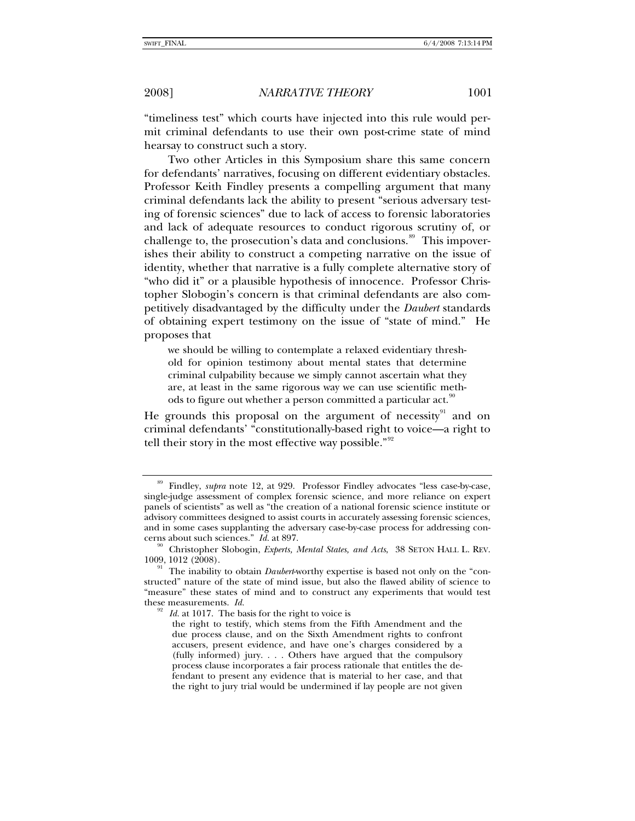"timeliness test" which courts have injected into this rule would permit criminal defendants to use their own post-crime state of mind hearsay to construct such a story.

Two other Articles in this Symposium share this same concern for defendants' narratives, focusing on different evidentiary obstacles. Professor Keith Findley presents a compelling argument that many criminal defendants lack the ability to present "serious adversary testing of forensic sciences" due to lack of access to forensic laboratories and lack of adequate resources to conduct rigorous scrutiny of, or challenge to, the prosecution's data and conclusions. $\frac{89}{10}$  $\frac{89}{10}$  $\frac{89}{10}$  This impoverishes their ability to construct a competing narrative on the issue of identity, whether that narrative is a fully complete alternative story of "who did it" or a plausible hypothesis of innocence. Professor Christopher Slobogin's concern is that criminal defendants are also competitively disadvantaged by the difficulty under the *Daubert* standards of obtaining expert testimony on the issue of "state of mind." He proposes that

we should be willing to contemplate a relaxed evidentiary threshold for opinion testimony about mental states that determine criminal culpability because we simply cannot ascertain what they are, at least in the same rigorous way we can use scientific meth-ods to figure out whether a person committed a particular act.<sup>[90](#page-26-1)</sup>

He grounds this proposal on the argument of necessity<sup>[91](#page-26-2)</sup> and on criminal defendants' "constitutionally-based right to voice—a right to tell their story in the most effective way possible." $92$ 

<span id="page-26-0"></span><sup>&</sup>lt;sup>89</sup> Findley, *supra* note 12, at 929. Professor Findley advocates "less case-by-case, single-judge assessment of complex forensic science, and more reliance on expert panels of scientists" as well as "the creation of a national forensic science institute or advisory committees designed to assist courts in accurately assessing forensic sciences, and in some cases supplanting the adversary case-by-case process for addressing concerns about such sciences." *Id.* at 897.<br><sup>90</sup> Christopher Slobogin, *Experts, Mental States, and Acts*, 38 SETON HALL L. REV.

<span id="page-26-1"></span><sup>1009, 1012 (2008). 91</sup> The inability to obtain *Daubert*-worthy expertise is based not only on the "con-

<span id="page-26-3"></span><span id="page-26-2"></span>structed" nature of the state of mind issue, but also the flawed ability of science to "measure" these states of mind and to construct any experiments that would test these measurements. *Id.*  $\frac{92}{2}$  *Id.* at 1017. The basis for the right to voice is

the right to testify, which stems from the Fifth Amendment and the due process clause, and on the Sixth Amendment rights to confront accusers, present evidence, and have one's charges considered by a (fully informed) jury. . . . Others have argued that the compulsory process clause incorporates a fair process rationale that entitles the defendant to present any evidence that is material to her case, and that the right to jury trial would be undermined if lay people are not given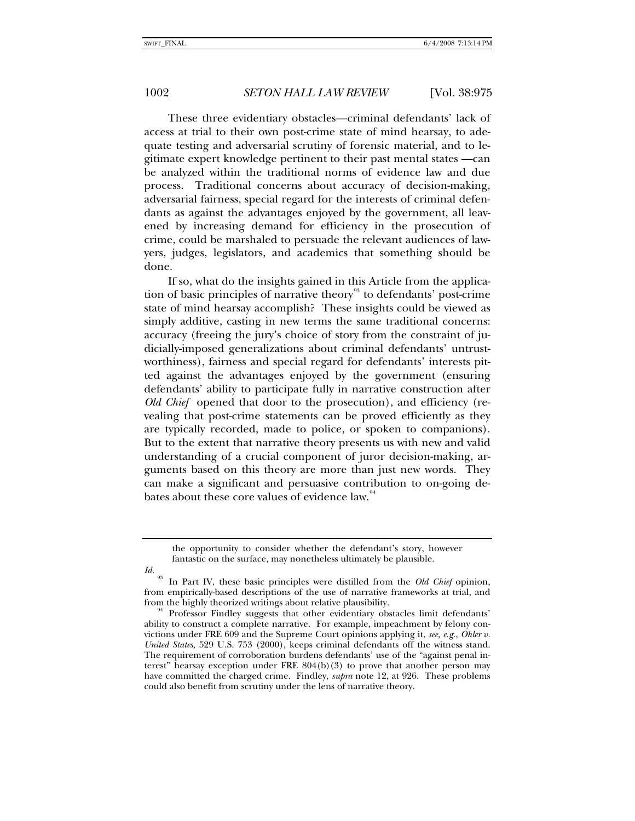These three evidentiary obstacles—criminal defendants' lack of access at trial to their own post-crime state of mind hearsay, to adequate testing and adversarial scrutiny of forensic material, and to legitimate expert knowledge pertinent to their past mental states —can be analyzed within the traditional norms of evidence law and due process. Traditional concerns about accuracy of decision-making, adversarial fairness, special regard for the interests of criminal defendants as against the advantages enjoyed by the government, all leavened by increasing demand for efficiency in the prosecution of crime, could be marshaled to persuade the relevant audiences of lawyers, judges, legislators, and academics that something should be done.

If so, what do the insights gained in this Article from the applica-tion of basic principles of narrative theory<sup>[93](#page-27-0)</sup> to defendants' post-crime state of mind hearsay accomplish? These insights could be viewed as simply additive, casting in new terms the same traditional concerns: accuracy (freeing the jury's choice of story from the constraint of judicially-imposed generalizations about criminal defendants' untrustworthiness), fairness and special regard for defendants' interests pitted against the advantages enjoyed by the government (ensuring defendants' ability to participate fully in narrative construction after *Old Chief* opened that door to the prosecution), and efficiency (revealing that post-crime statements can be proved efficiently as they are typically recorded, made to police, or spoken to companions). But to the extent that narrative theory presents us with new and valid understanding of a crucial component of juror decision-making, arguments based on this theory are more than just new words. They can make a significant and persuasive contribution to on-going de-bates about these core values of evidence law.<sup>[94](#page-27-1)</sup>

<span id="page-27-0"></span>*Id.*

the opportunity to consider whether the defendant's story, however fantastic on the surface, may nonetheless ultimately be plausible.

<sup>93</sup> In Part IV, these basic principles were distilled from the *Old Chief* opinion, from empirically-based descriptions of the use of narrative frameworks at trial, and from the highly theorized writings about relative plausibility.<br><sup>94</sup> Professor Findley suggests that other evidentiary obstacles limit defendants'

<span id="page-27-1"></span>ability to construct a complete narrative. For example, impeachment by felony convictions under FRE 609 and the Supreme Court opinions applying it, *see, e.g.*, *Ohler v. United States*, 529 U.S. 753 (2000), keeps criminal defendants off the witness stand. The requirement of corroboration burdens defendants' use of the "against penal interest" hearsay exception under FRE 804(b)(3) to prove that another person may have committed the charged crime. Findley, *supra* note 12, at 926. These problems could also benefit from scrutiny under the lens of narrative theory.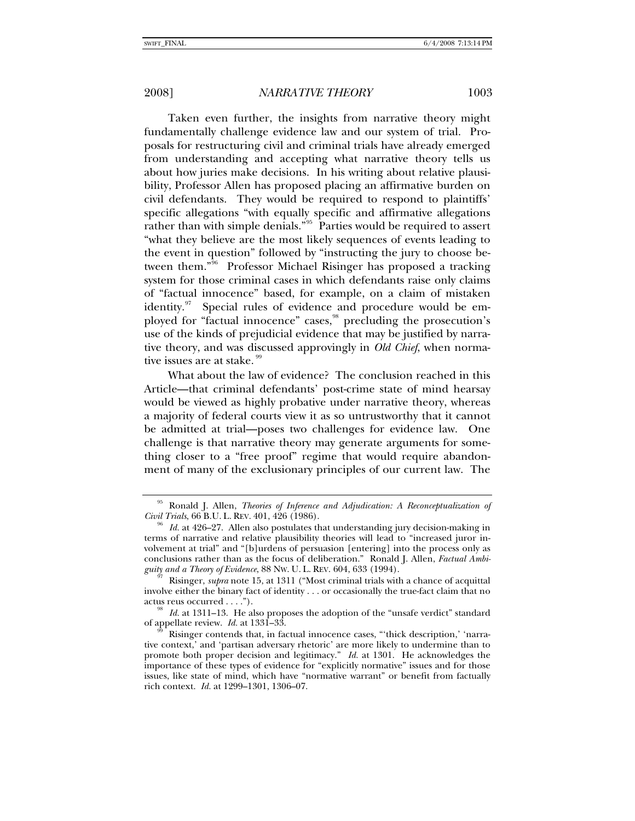Taken even further, the insights from narrative theory might fundamentally challenge evidence law and our system of trial. Proposals for restructuring civil and criminal trials have already emerged from understanding and accepting what narrative theory tells us about how juries make decisions. In his writing about relative plausibility, Professor Allen has proposed placing an affirmative burden on civil defendants. They would be required to respond to plaintiffs' specific allegations "with equally specific and affirmative allegations rather than with simple denials."<sup>[95](#page-28-0)</sup> Parties would be required to assert "what they believe are the most likely sequences of events leading to the event in question" followed by "instructing the jury to choose be-tween them."<sup>[96](#page-28-1)</sup> Professor Michael Risinger has proposed a tracking system for those criminal cases in which defendants raise only claims of "factual innocence" based, for example, on a claim of mistaken identity. $97$  Special rules of evidence and procedure would be employed for "factual innocence" cases, precluding the prosecution's use of the kinds of prejudicial evidence that may be justified by narrative theory, and was discussed approvingly in *Old Chief*, when normative issues are at stake.

What about the law of evidence? The conclusion reached in this Article—that criminal defendants' post-crime state of mind hearsay would be viewed as highly probative under narrative theory, whereas a majority of federal courts view it as so untrustworthy that it cannot be admitted at trial—poses two challenges for evidence law. One challenge is that narrative theory may generate arguments for something closer to a "free proof" regime that would require abandonment of many of the exclusionary principles of our current law. The

<span id="page-28-0"></span><sup>95</sup> Ronald J. Allen, *Theories of Inference and Adjudication: A Reconceptualization of Civil Trials*, 66 B.U. L. REV. 401, 426 (1986).<br><sup>96</sup> *Id.* at 426–27. Allen also postulates that understanding jury decision-making in

<span id="page-28-1"></span>terms of narrative and relative plausibility theories will lead to "increased juror involvement at trial" and "[b]urdens of persuasion [entering] into the process only as conclusions rather than as the focus of deliberation." Ronald J. Allen, *Factual Ambi-*

<span id="page-28-2"></span>Risinger, *supra* note 15, at 1311 ("Most criminal trials with a chance of acquittal involve either the binary fact of identity . . . or occasionally the true-fact claim that no actus reus occurred  $\dots$ ").<br><sup>98</sup> *Id.* at 1311–13. He also proposes the adoption of the "unsafe verdict" standard

<span id="page-28-3"></span>of appellate review. *Id.* at 1331–33.<br><sup>99</sup> Risinger contends that, in factual innocence cases, "thick description,' 'narra-

<span id="page-28-4"></span>tive context,' and 'partisan adversary rhetoric' are more likely to undermine than to promote both proper decision and legitimacy." *Id.* at 1301. He acknowledges the importance of these types of evidence for "explicitly normative" issues and for those issues, like state of mind, which have "normative warrant" or benefit from factually rich context. *Id.* at 1299–1301, 1306–07.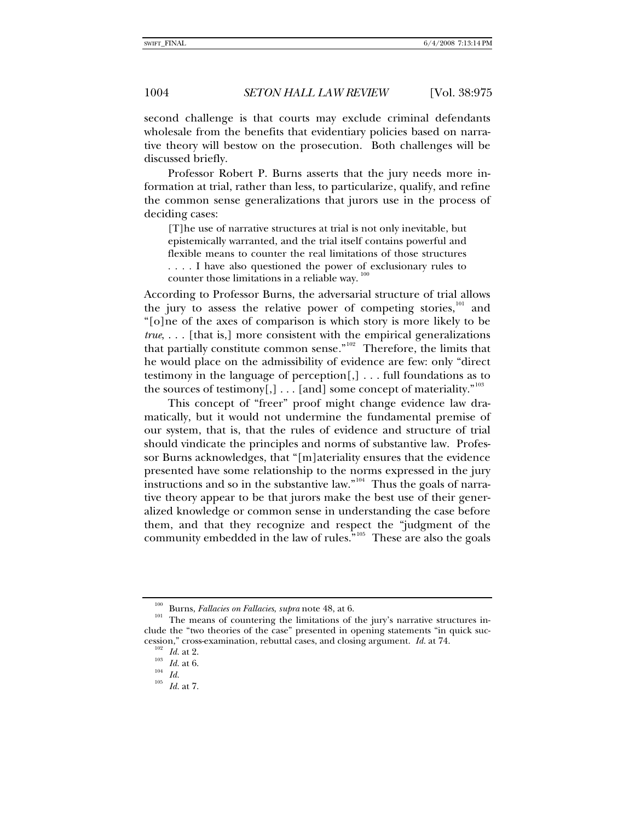second challenge is that courts may exclude criminal defendants wholesale from the benefits that evidentiary policies based on narrative theory will bestow on the prosecution. Both challenges will be discussed briefly.

Professor Robert P. Burns asserts that the jury needs more information at trial, rather than less, to particularize, qualify, and refine the common sense generalizations that jurors use in the process of deciding cases:

[T]he use of narrative structures at trial is not only inevitable, but epistemically warranted, and the trial itself contains powerful and flexible means to counter the real limitations of those structures . . . . I have also questioned the power of exclusionary rules to counter those limitations in a reliable way.<sup>[100](#page-29-0)</sup>

According to Professor Burns, the adversarial structure of trial allows the jury to assess the relative power of competing stories, $101$  and "[o]ne of the axes of comparison is which story is more likely to be *true*, . . . [that is,] more consistent with the empirical generalizations that partially constitute common sense."<sup>[102](#page-29-2)</sup> Therefore, the limits that he would place on the admissibility of evidence are few: only "direct testimony in the language of perception[,] . . . full foundations as to the sources of testimony[,] . . . [and] some concept of materiality."<sup>[103](#page-29-3)</sup>

This concept of "freer" proof might change evidence law dramatically, but it would not undermine the fundamental premise of our system, that is, that the rules of evidence and structure of trial should vindicate the principles and norms of substantive law. Professor Burns acknowledges, that "[m]ateriality ensures that the evidence presented have some relationship to the norms expressed in the jury instructions and so in the substantive law."<sup>[104](#page-29-4)</sup> Thus the goals of narrative theory appear to be that jurors make the best use of their generalized knowledge or common sense in understanding the case before them, and that they recognize and respect the "judgment of the community embedded in the law of rules."<sup>[105](#page-29-5)</sup> These are also the goals

<span id="page-29-2"></span><span id="page-29-1"></span><span id="page-29-0"></span><sup>&</sup>lt;sup>100</sup> Burns, *Fallacies on Fallacies*, *supra* note 48, at 6.<br><sup>101</sup> The means of countering the limitations of the jury's narrative structures include the "two theories of the case" presented in opening statements "in quick succession," cross-examination, rebuttal cases, and closing argument. *Id.* at 74.<br><sup>102</sup> *Id.* at 2. <sup>103</sup> *Id.* at 6. <sup>104</sup> *Id.* 10<sup>5</sup> *Id.* at 7.

<span id="page-29-5"></span><span id="page-29-4"></span><span id="page-29-3"></span>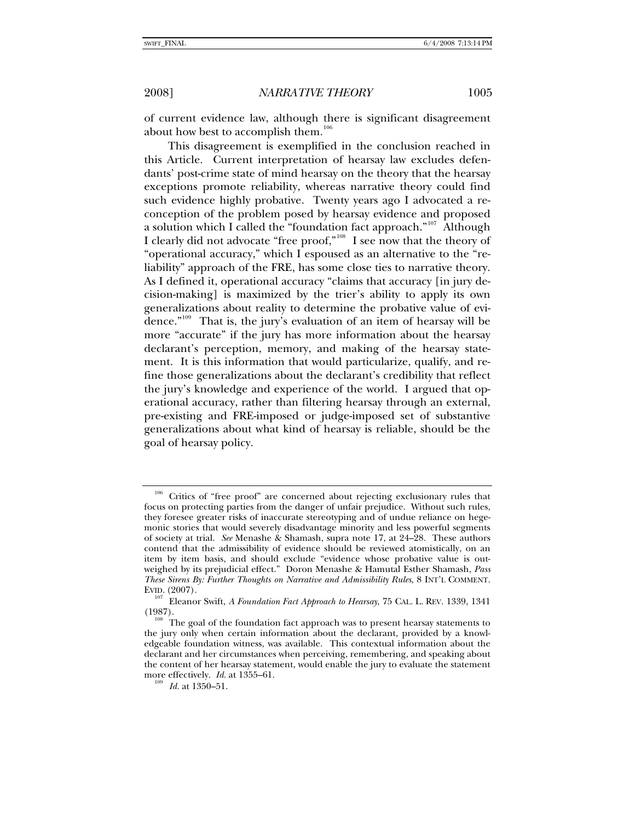of current evidence law, although there is significant disagreement about how best to accomplish them.<sup>[106](#page-30-0)</sup>

This disagreement is exemplified in the conclusion reached in this Article. Current interpretation of hearsay law excludes defendants' post-crime state of mind hearsay on the theory that the hearsay exceptions promote reliability, whereas narrative theory could find such evidence highly probative. Twenty years ago I advocated a reconception of the problem posed by hearsay evidence and proposed a solution which I called the "foundation fact approach."<sup>[107](#page-30-1)</sup> Although I clearly did not advocate "free proof,"[108](#page-30-2) I see now that the theory of "operational accuracy," which I espoused as an alternative to the "reliability" approach of the FRE, has some close ties to narrative theory. As I defined it, operational accuracy "claims that accuracy [in jury decision-making] is maximized by the trier's ability to apply its own generalizations about reality to determine the probative value of evidence."[109](#page-30-3) That is, the jury's evaluation of an item of hearsay will be more "accurate" if the jury has more information about the hearsay declarant's perception, memory, and making of the hearsay statement. It is this information that would particularize, qualify, and refine those generalizations about the declarant's credibility that reflect the jury's knowledge and experience of the world. I argued that operational accuracy, rather than filtering hearsay through an external, pre-existing and FRE-imposed or judge-imposed set of substantive generalizations about what kind of hearsay is reliable, should be the goal of hearsay policy.

<span id="page-30-0"></span><sup>&</sup>lt;sup>106</sup> Critics of "free proof" are concerned about rejecting exclusionary rules that focus on protecting parties from the danger of unfair prejudice. Without such rules, they foresee greater risks of inaccurate stereotyping and of undue reliance on hegemonic stories that would severely disadvantage minority and less powerful segments of society at trial. *See* Menashe & Shamash, supra note 17, at 24–28. These authors contend that the admissibility of evidence should be reviewed atomistically, on an item by item basis, and should exclude "evidence whose probative value is outweighed by its prejudicial effect." Doron Menashe & Hamutal Esther Shamash, *Pass These Sirens By: Further Thoughts on Narrative and Admissibility Rules*, 8 INT'L COMMENT.

<span id="page-30-1"></span>EVID. (2007). 107 Eleanor Swift, *A Foundation Fact Approach to Hearsay*, 75 CAL. L. REV. 1339, 1341 (1987).<br><sup>108</sup> The goal of the foundation fact approach was to present hearsay statements to

<span id="page-30-3"></span><span id="page-30-2"></span>the jury only when certain information about the declarant, provided by a knowledgeable foundation witness, was available. This contextual information about the declarant and her circumstances when perceiving, remembering, and speaking about the content of her hearsay statement, would enable the jury to evaluate the statement more effectively. *Id.* at 1355–61. 109 *Id.* at 1350–51.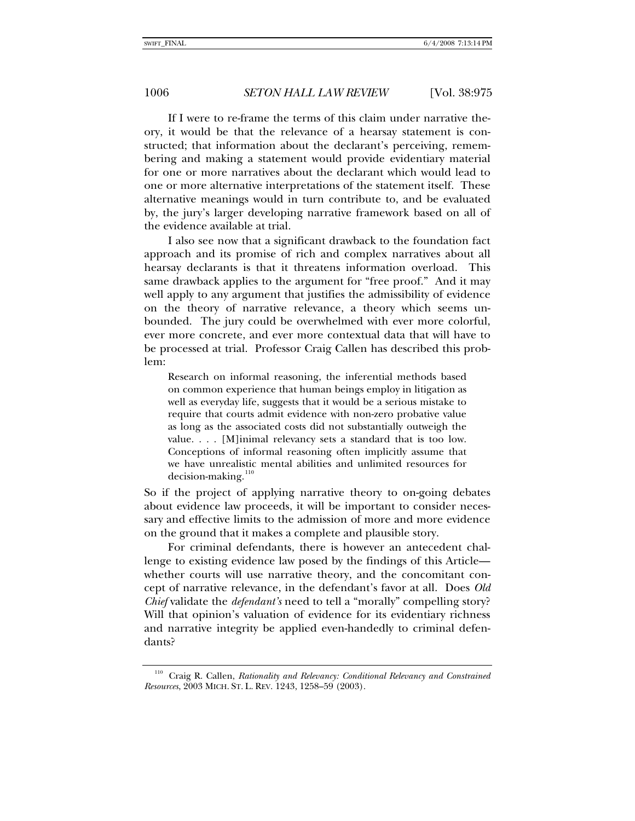If I were to re-frame the terms of this claim under narrative theory, it would be that the relevance of a hearsay statement is constructed; that information about the declarant's perceiving, remembering and making a statement would provide evidentiary material for one or more narratives about the declarant which would lead to one or more alternative interpretations of the statement itself. These alternative meanings would in turn contribute to, and be evaluated by, the jury's larger developing narrative framework based on all of the evidence available at trial.

I also see now that a significant drawback to the foundation fact approach and its promise of rich and complex narratives about all hearsay declarants is that it threatens information overload. This same drawback applies to the argument for "free proof." And it may well apply to any argument that justifies the admissibility of evidence on the theory of narrative relevance, a theory which seems unbounded. The jury could be overwhelmed with ever more colorful, ever more concrete, and ever more contextual data that will have to be processed at trial. Professor Craig Callen has described this problem:

Research on informal reasoning, the inferential methods based on common experience that human beings employ in litigation as well as everyday life, suggests that it would be a serious mistake to require that courts admit evidence with non-zero probative value as long as the associated costs did not substantially outweigh the value. . . . [M]inimal relevancy sets a standard that is too low. Conceptions of informal reasoning often implicitly assume that we have unrealistic mental abilities and unlimited resources for  $decision-making<sup>110</sup>$  $decision-making<sup>110</sup>$  $decision-making<sup>110</sup>$ 

So if the project of applying narrative theory to on-going debates about evidence law proceeds, it will be important to consider necessary and effective limits to the admission of more and more evidence on the ground that it makes a complete and plausible story.

For criminal defendants, there is however an antecedent challenge to existing evidence law posed by the findings of this Article whether courts will use narrative theory, and the concomitant concept of narrative relevance, in the defendant's favor at all. Does *Old Chief* validate the *defendant's* need to tell a "morally" compelling story? Will that opinion's valuation of evidence for its evidentiary richness and narrative integrity be applied even-handedly to criminal defendants?

<span id="page-31-0"></span><sup>110</sup> Craig R. Callen, *Rationality and Relevancy: Conditional Relevancy and Constrained Resources*, 2003 MICH. ST. L. REV. 1243, 1258–59 (2003).